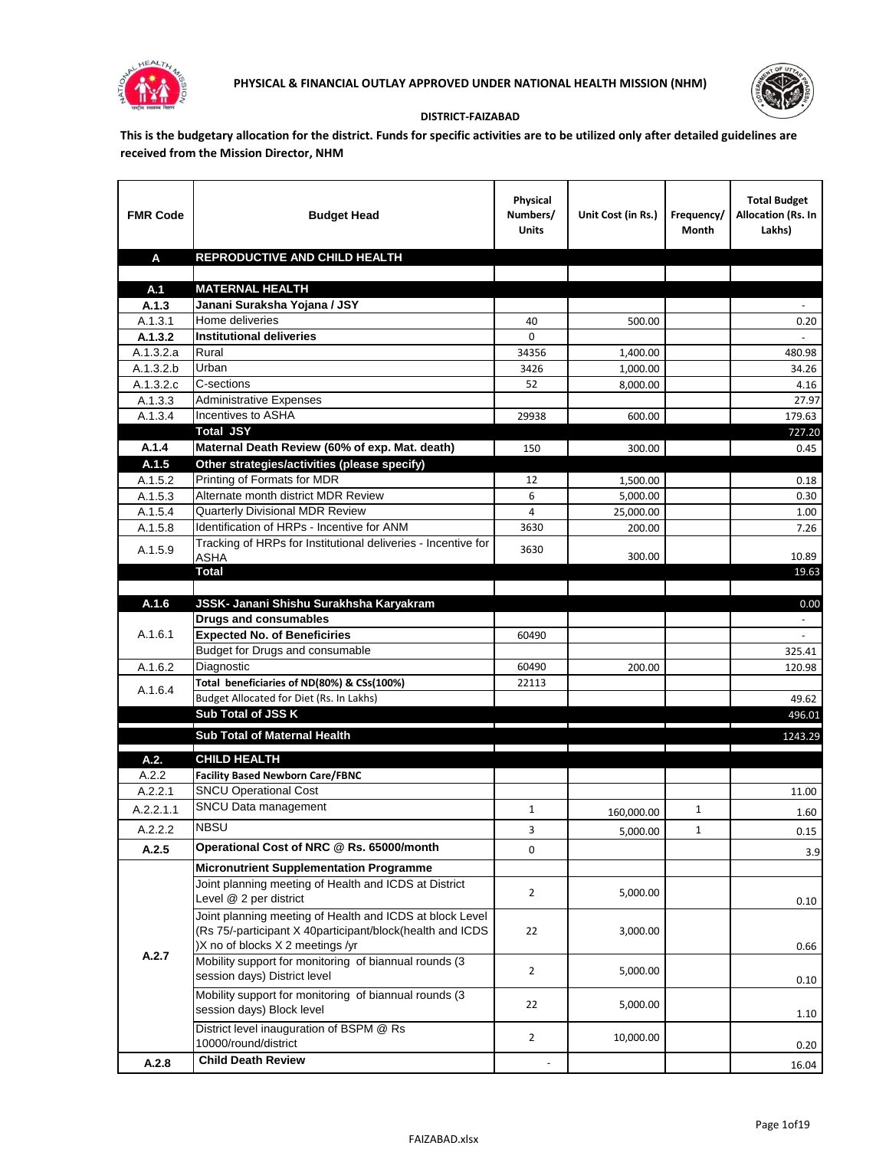



## **DISTRICT-FAIZABAD**

**This is the budgetary allocation for the district. Funds for specific activities are to be utilized only after detailed guidelines are received from the Mission Director, NHM**

| <b>FMR Code</b>        | <b>Budget Head</b>                                                            | Physical<br>Numbers/<br><b>Units</b> | Unit Cost (in Rs.)                                      | Frequency/<br>Month | <b>Total Budget</b><br><b>Allocation (Rs. In</b><br>Lakhs) |
|------------------------|-------------------------------------------------------------------------------|--------------------------------------|---------------------------------------------------------|---------------------|------------------------------------------------------------|
| A                      | REPRODUCTIVE AND CHILD HEALTH                                                 |                                      |                                                         |                     |                                                            |
|                        |                                                                               |                                      |                                                         |                     |                                                            |
| A.1                    | <b>MATERNAL HEALTH</b>                                                        |                                      |                                                         |                     |                                                            |
| A.1.3                  | Janani Suraksha Yojana / JSY                                                  |                                      |                                                         |                     |                                                            |
| A.1.3.1                | Home deliveries                                                               | 40                                   | 500.00                                                  |                     | 0.20                                                       |
| A.1.3.2                | <b>Institutional deliveries</b>                                               | 0                                    |                                                         |                     |                                                            |
| A.1.3.2.a              | Rural                                                                         | 34356                                | 1,400.00                                                |                     | 480.98                                                     |
| $\overline{A.1.3.2.b}$ | Urban                                                                         | 3426                                 | 1,000.00                                                |                     | 34.26                                                      |
| A.1.3.2.c              | C-sections                                                                    | 52                                   | 8,000.00                                                |                     | 4.16                                                       |
| A.1.3.3                | <b>Administrative Expenses</b>                                                |                                      |                                                         |                     | 27.97                                                      |
| A.1.3.4                | Incentives to ASHA                                                            | 29938                                | 600.00                                                  |                     | 179.63                                                     |
|                        | <b>Total JSY</b>                                                              |                                      |                                                         |                     | 727.20                                                     |
| A.1.4                  | Maternal Death Review (60% of exp. Mat. death)                                | 150                                  | 300.00                                                  |                     | 0.45                                                       |
| A.1.5                  | Other strategies/activities (please specify)                                  |                                      |                                                         |                     |                                                            |
| A.1.5.2                | Printing of Formats for MDR                                                   | 12                                   | 1,500.00                                                |                     | 0.18                                                       |
| A.1.5.3                | Alternate month district MDR Review                                           | 6                                    | 5,000.00                                                |                     | 0.30                                                       |
| A.1.5.4                | Quarterly Divisional MDR Review<br>Identification of HRPs - Incentive for ANM | 4                                    | 25,000.00                                               |                     | 1.00                                                       |
| A.1.5.8                | Tracking of HRPs for Institutional deliveries - Incentive for                 | 3630                                 | 200.00                                                  |                     | 7.26                                                       |
| A.1.5.9                | <b>ASHA</b>                                                                   | 3630                                 | 300.00                                                  |                     | 10.89                                                      |
|                        | Total                                                                         |                                      |                                                         |                     | 19.63                                                      |
|                        |                                                                               |                                      |                                                         |                     |                                                            |
| A.1.6                  | JSSK- Janani Shishu Surakhsha Karyakram                                       |                                      |                                                         |                     | 0.00                                                       |
|                        | <b>Drugs and consumables</b>                                                  |                                      |                                                         |                     |                                                            |
| A.1.6.1                | <b>Expected No. of Beneficiries</b>                                           | 60490                                |                                                         |                     | $\sim$                                                     |
|                        | Budget for Drugs and consumable                                               |                                      |                                                         |                     | 325.41                                                     |
| A.1.6.2                | Diagnostic                                                                    | 60490                                | 200.00                                                  |                     | 120.98                                                     |
| A.1.6.4                | Total beneficiaries of ND(80%) & CSs(100%)                                    | 22113                                |                                                         |                     |                                                            |
|                        | Budget Allocated for Diet (Rs. In Lakhs)                                      |                                      |                                                         |                     | 49.62                                                      |
|                        | Sub Total of JSS K                                                            |                                      |                                                         |                     | 496.01                                                     |
|                        | Sub Total of Maternal Health                                                  |                                      |                                                         |                     | 1243.29                                                    |
|                        |                                                                               |                                      | <u> 1989 - Johann Stein, fransk politiker (d. 1989)</u> |                     |                                                            |
| A.2.                   | <b>CHILD HEALTH</b>                                                           |                                      |                                                         |                     |                                                            |
| A.2.2                  | <b>Facility Based Newborn Care/FBNC</b>                                       |                                      |                                                         |                     |                                                            |
| A.2.2.1                | <b>SNCU Operational Cost</b>                                                  |                                      |                                                         |                     | 11.00                                                      |
| A.2.2.1.1              | SNCU Data management                                                          | $\mathbf{1}$                         | 160,000.00                                              | 1                   | 1.60                                                       |
| A.2.2.2                | <b>NBSU</b>                                                                   | 3                                    | 5,000.00                                                | 1                   | 0.15                                                       |
| A.2.5                  | Operational Cost of NRC @ Rs. 65000/month                                     | 0                                    |                                                         |                     | 3.9                                                        |
|                        | <b>Micronutrient Supplementation Programme</b>                                |                                      |                                                         |                     |                                                            |
|                        | Joint planning meeting of Health and ICDS at District                         |                                      |                                                         |                     |                                                            |
|                        | Level @ 2 per district                                                        | $\overline{2}$                       | 5,000.00                                                |                     | 0.10                                                       |
|                        | Joint planning meeting of Health and ICDS at block Level                      |                                      |                                                         |                     |                                                            |
|                        | (Rs 75/-participant X 40participant/block(health and ICDS                     | 22                                   | 3,000.00                                                |                     |                                                            |
|                        | )X no of blocks X 2 meetings /yr                                              |                                      |                                                         |                     | 0.66                                                       |
| A.2.7                  | Mobility support for monitoring of biannual rounds (3                         |                                      |                                                         |                     |                                                            |
|                        | session days) District level                                                  | $\overline{2}$                       | 5,000.00                                                |                     | 0.10                                                       |
|                        | Mobility support for monitoring of biannual rounds (3                         |                                      |                                                         |                     |                                                            |
|                        | session days) Block level                                                     | 22                                   | 5,000.00                                                |                     | 1.10                                                       |
|                        | District level inauguration of BSPM @ Rs                                      |                                      |                                                         |                     |                                                            |
|                        | 10000/round/district                                                          | $\overline{2}$                       | 10,000.00                                               |                     | 0.20                                                       |
| A.2.8                  | <b>Child Death Review</b>                                                     |                                      |                                                         |                     | 16.04                                                      |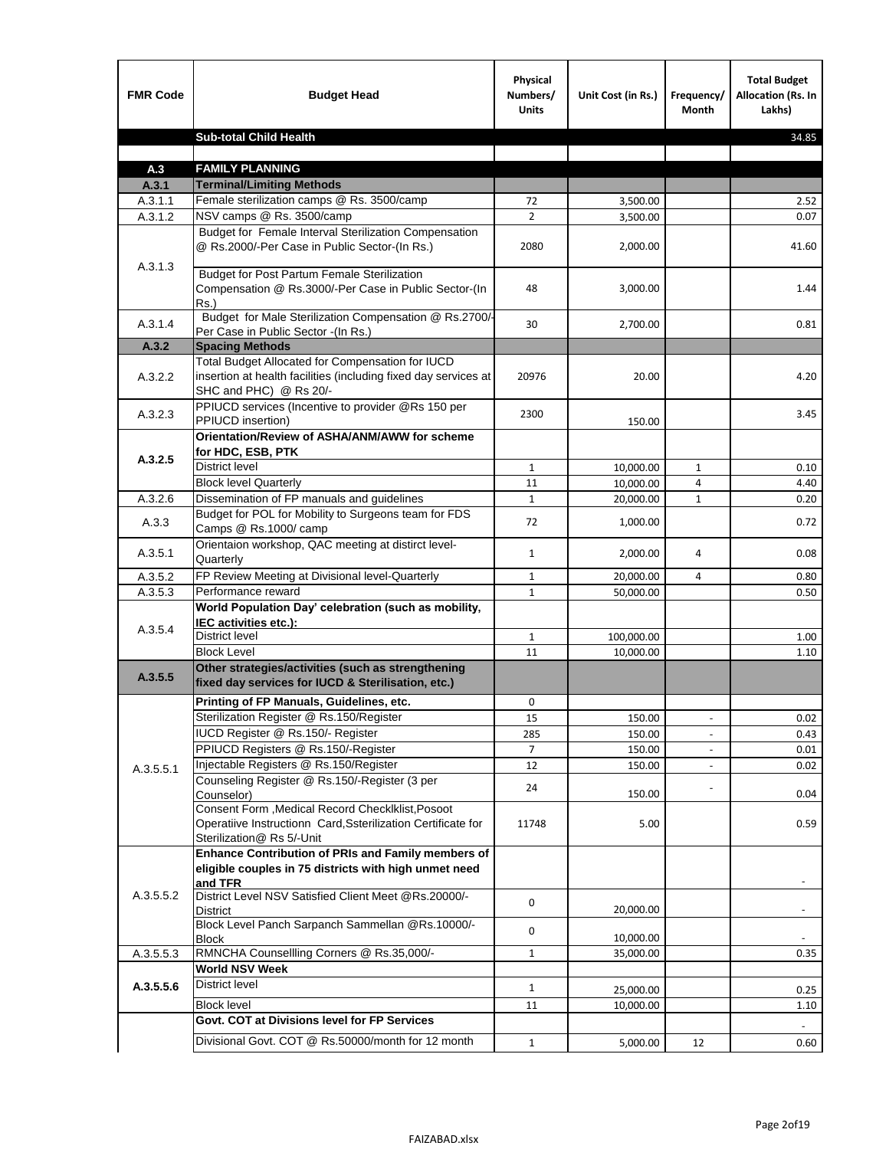| <b>Sub-total Child Health</b><br>34.85<br><b>FAMILY PLANNING</b><br>A.3<br><b>Terminal/Limiting Methods</b><br>A.3.1<br>Female sterilization camps @ Rs. 3500/camp<br>A.3.1.1<br>72<br>2.52<br>3,500.00<br>NSV camps @ Rs. 3500/camp<br>$\overline{2}$<br>A.3.1.2<br>0.07<br>3,500.00<br>Budget for Female Interval Sterilization Compensation<br>@ Rs.2000/-Per Case in Public Sector-(In Rs.)<br>2080<br>2,000.00<br>41.60<br>A.3.1.3<br><b>Budget for Post Partum Female Sterilization</b><br>Compensation @ Rs.3000/-Per Case in Public Sector-(In<br>48<br>3,000.00<br>1.44<br>$Rs.$ )<br>Budget for Male Sterilization Compensation @ Rs.2700/-<br>A.3.1.4<br>30<br>2,700.00<br>0.81<br>Per Case in Public Sector -(In Rs.)<br>A.3.2<br><b>Spacing Methods</b><br>Total Budget Allocated for Compensation for IUCD<br>insertion at health facilities (including fixed day services at<br>A.3.2.2<br>20976<br>20.00<br>4.20<br>SHC and PHC) @ Rs 20/-<br>PPIUCD services (Incentive to provider @Rs 150 per<br>A.3.2.3<br>2300<br>3.45<br>PPIUCD insertion)<br>150.00<br>Orientation/Review of ASHA/ANM/AWW for scheme<br>for HDC, ESB, PTK<br>A.3.2.5<br><b>District level</b><br>$\mathbf{1}$<br>10,000.00<br>$\mathbf{1}$<br>0.10<br><b>Block level Quarterly</b><br>11<br>10,000.00<br>4.40<br>4<br>Dissemination of FP manuals and guidelines<br>A.3.2.6<br>$\mathbf{1}$<br>$\mathbf{1}$<br>0.20<br>20,000.00<br>Budget for POL for Mobility to Surgeons team for FDS<br>A.3.3<br>72<br>0.72<br>1,000.00<br>Camps @ Rs.1000/ camp<br>Orientaion workshop, QAC meeting at distirct level-<br>A.3.5.1<br>$\mathbf{1}$<br>2,000.00<br>4<br>0.08<br>Quarterly<br>FP Review Meeting at Divisional level-Quarterly<br>A.3.5.2<br>20,000.00<br>4<br>$\mathbf{1}$<br>0.80<br>Performance reward<br>A.3.5.3<br>$\mathbf{1}$<br>50,000.00<br>0.50<br>World Population Day' celebration (such as mobility,<br>IEC activities etc.):<br>A.3.5.4<br>District level<br>100,000.00<br>$\mathbf{1}$<br>1.00<br><b>Block Level</b><br>11<br>1.10<br>10,000.00<br>Other strategies/activities (such as strengthening<br>A.3.5.5<br>fixed day services for IUCD & Sterilisation, etc.)<br>Printing of FP Manuals, Guidelines, etc.<br>0<br>Sterilization Register @ Rs.150/Register<br>15<br>150.00<br>0.02<br>$\centerdot$<br>IUCD Register @ Rs.150/- Register<br>285<br>150.00<br>0.43<br>PPIUCD Registers @ Rs.150/-Register<br>150.00<br>$\overline{7}$<br>0.01<br>Injectable Registers @ Rs.150/Register<br>12<br>150.00<br>0.02<br>A.3.5.5.1<br>Counseling Register @ Rs.150/-Register (3 per<br>24<br>Counselor)<br>150.00<br>0.04<br>Consent Form , Medical Record CheckIklist, Posoot<br>Operatiive Instructionn Card, Ssterilization Certificate for<br>5.00<br>0.59<br>11748<br>Sterilization@ Rs 5/-Unit<br>Enhance Contribution of PRIs and Family members of<br>eligible couples in 75 districts with high unmet need<br>and TFR<br>A.3.5.5.2<br>District Level NSV Satisfied Client Meet @Rs.20000/-<br>0<br>20,000.00<br>District<br>Block Level Panch Sarpanch Sammellan @Rs.10000/-<br>0<br><b>Block</b><br>10,000.00<br>RMNCHA Counsellling Corners @ Rs.35,000/-<br>A.3.5.5.3<br>$\mathbf{1}$<br>35,000.00<br>0.35<br><b>World NSV Week</b><br><b>District level</b><br>A.3.5.5.6<br>$\mathbf{1}$<br>25,000.00<br>0.25<br><b>Block level</b><br>11<br>10,000.00<br>1.10<br>Govt. COT at Divisions level for FP Services<br>Divisional Govt. COT @ Rs.50000/month for 12 month<br>$\mathbf{1}$<br>5,000.00<br>12<br>0.60 | <b>FMR Code</b> | <b>Budget Head</b> | Physical<br>Numbers/<br><b>Units</b> | Unit Cost (in Rs.) | Frequency/<br><b>Month</b> | <b>Total Budget</b><br>Allocation (Rs. In<br>Lakhs) |
|-------------------------------------------------------------------------------------------------------------------------------------------------------------------------------------------------------------------------------------------------------------------------------------------------------------------------------------------------------------------------------------------------------------------------------------------------------------------------------------------------------------------------------------------------------------------------------------------------------------------------------------------------------------------------------------------------------------------------------------------------------------------------------------------------------------------------------------------------------------------------------------------------------------------------------------------------------------------------------------------------------------------------------------------------------------------------------------------------------------------------------------------------------------------------------------------------------------------------------------------------------------------------------------------------------------------------------------------------------------------------------------------------------------------------------------------------------------------------------------------------------------------------------------------------------------------------------------------------------------------------------------------------------------------------------------------------------------------------------------------------------------------------------------------------------------------------------------------------------------------------------------------------------------------------------------------------------------------------------------------------------------------------------------------------------------------------------------------------------------------------------------------------------------------------------------------------------------------------------------------------------------------------------------------------------------------------------------------------------------------------------------------------------------------------------------------------------------------------------------------------------------------------------------------------------------------------------------------------------------------------------------------------------------------------------------------------------------------------------------------------------------------------------------------------------------------------------------------------------------------------------------------------------------------------------------------------------------------------------------------------------------------------------------------------------------------------------------------------------------------------------------------------------------------------------------------------------------------------------------------------------------------------------------------------------------------------------------------------------------------------------------------------------------------------------------------------------------------------------------------------------------------------------------|-----------------|--------------------|--------------------------------------|--------------------|----------------------------|-----------------------------------------------------|
|                                                                                                                                                                                                                                                                                                                                                                                                                                                                                                                                                                                                                                                                                                                                                                                                                                                                                                                                                                                                                                                                                                                                                                                                                                                                                                                                                                                                                                                                                                                                                                                                                                                                                                                                                                                                                                                                                                                                                                                                                                                                                                                                                                                                                                                                                                                                                                                                                                                                                                                                                                                                                                                                                                                                                                                                                                                                                                                                                                                                                                                                                                                                                                                                                                                                                                                                                                                                                                                                                                                                     |                 |                    |                                      |                    |                            |                                                     |
|                                                                                                                                                                                                                                                                                                                                                                                                                                                                                                                                                                                                                                                                                                                                                                                                                                                                                                                                                                                                                                                                                                                                                                                                                                                                                                                                                                                                                                                                                                                                                                                                                                                                                                                                                                                                                                                                                                                                                                                                                                                                                                                                                                                                                                                                                                                                                                                                                                                                                                                                                                                                                                                                                                                                                                                                                                                                                                                                                                                                                                                                                                                                                                                                                                                                                                                                                                                                                                                                                                                                     |                 |                    |                                      |                    |                            |                                                     |
|                                                                                                                                                                                                                                                                                                                                                                                                                                                                                                                                                                                                                                                                                                                                                                                                                                                                                                                                                                                                                                                                                                                                                                                                                                                                                                                                                                                                                                                                                                                                                                                                                                                                                                                                                                                                                                                                                                                                                                                                                                                                                                                                                                                                                                                                                                                                                                                                                                                                                                                                                                                                                                                                                                                                                                                                                                                                                                                                                                                                                                                                                                                                                                                                                                                                                                                                                                                                                                                                                                                                     |                 |                    |                                      |                    |                            |                                                     |
|                                                                                                                                                                                                                                                                                                                                                                                                                                                                                                                                                                                                                                                                                                                                                                                                                                                                                                                                                                                                                                                                                                                                                                                                                                                                                                                                                                                                                                                                                                                                                                                                                                                                                                                                                                                                                                                                                                                                                                                                                                                                                                                                                                                                                                                                                                                                                                                                                                                                                                                                                                                                                                                                                                                                                                                                                                                                                                                                                                                                                                                                                                                                                                                                                                                                                                                                                                                                                                                                                                                                     |                 |                    |                                      |                    |                            |                                                     |
|                                                                                                                                                                                                                                                                                                                                                                                                                                                                                                                                                                                                                                                                                                                                                                                                                                                                                                                                                                                                                                                                                                                                                                                                                                                                                                                                                                                                                                                                                                                                                                                                                                                                                                                                                                                                                                                                                                                                                                                                                                                                                                                                                                                                                                                                                                                                                                                                                                                                                                                                                                                                                                                                                                                                                                                                                                                                                                                                                                                                                                                                                                                                                                                                                                                                                                                                                                                                                                                                                                                                     |                 |                    |                                      |                    |                            |                                                     |
|                                                                                                                                                                                                                                                                                                                                                                                                                                                                                                                                                                                                                                                                                                                                                                                                                                                                                                                                                                                                                                                                                                                                                                                                                                                                                                                                                                                                                                                                                                                                                                                                                                                                                                                                                                                                                                                                                                                                                                                                                                                                                                                                                                                                                                                                                                                                                                                                                                                                                                                                                                                                                                                                                                                                                                                                                                                                                                                                                                                                                                                                                                                                                                                                                                                                                                                                                                                                                                                                                                                                     |                 |                    |                                      |                    |                            |                                                     |
|                                                                                                                                                                                                                                                                                                                                                                                                                                                                                                                                                                                                                                                                                                                                                                                                                                                                                                                                                                                                                                                                                                                                                                                                                                                                                                                                                                                                                                                                                                                                                                                                                                                                                                                                                                                                                                                                                                                                                                                                                                                                                                                                                                                                                                                                                                                                                                                                                                                                                                                                                                                                                                                                                                                                                                                                                                                                                                                                                                                                                                                                                                                                                                                                                                                                                                                                                                                                                                                                                                                                     |                 |                    |                                      |                    |                            |                                                     |
|                                                                                                                                                                                                                                                                                                                                                                                                                                                                                                                                                                                                                                                                                                                                                                                                                                                                                                                                                                                                                                                                                                                                                                                                                                                                                                                                                                                                                                                                                                                                                                                                                                                                                                                                                                                                                                                                                                                                                                                                                                                                                                                                                                                                                                                                                                                                                                                                                                                                                                                                                                                                                                                                                                                                                                                                                                                                                                                                                                                                                                                                                                                                                                                                                                                                                                                                                                                                                                                                                                                                     |                 |                    |                                      |                    |                            |                                                     |
|                                                                                                                                                                                                                                                                                                                                                                                                                                                                                                                                                                                                                                                                                                                                                                                                                                                                                                                                                                                                                                                                                                                                                                                                                                                                                                                                                                                                                                                                                                                                                                                                                                                                                                                                                                                                                                                                                                                                                                                                                                                                                                                                                                                                                                                                                                                                                                                                                                                                                                                                                                                                                                                                                                                                                                                                                                                                                                                                                                                                                                                                                                                                                                                                                                                                                                                                                                                                                                                                                                                                     |                 |                    |                                      |                    |                            |                                                     |
|                                                                                                                                                                                                                                                                                                                                                                                                                                                                                                                                                                                                                                                                                                                                                                                                                                                                                                                                                                                                                                                                                                                                                                                                                                                                                                                                                                                                                                                                                                                                                                                                                                                                                                                                                                                                                                                                                                                                                                                                                                                                                                                                                                                                                                                                                                                                                                                                                                                                                                                                                                                                                                                                                                                                                                                                                                                                                                                                                                                                                                                                                                                                                                                                                                                                                                                                                                                                                                                                                                                                     |                 |                    |                                      |                    |                            |                                                     |
|                                                                                                                                                                                                                                                                                                                                                                                                                                                                                                                                                                                                                                                                                                                                                                                                                                                                                                                                                                                                                                                                                                                                                                                                                                                                                                                                                                                                                                                                                                                                                                                                                                                                                                                                                                                                                                                                                                                                                                                                                                                                                                                                                                                                                                                                                                                                                                                                                                                                                                                                                                                                                                                                                                                                                                                                                                                                                                                                                                                                                                                                                                                                                                                                                                                                                                                                                                                                                                                                                                                                     |                 |                    |                                      |                    |                            |                                                     |
|                                                                                                                                                                                                                                                                                                                                                                                                                                                                                                                                                                                                                                                                                                                                                                                                                                                                                                                                                                                                                                                                                                                                                                                                                                                                                                                                                                                                                                                                                                                                                                                                                                                                                                                                                                                                                                                                                                                                                                                                                                                                                                                                                                                                                                                                                                                                                                                                                                                                                                                                                                                                                                                                                                                                                                                                                                                                                                                                                                                                                                                                                                                                                                                                                                                                                                                                                                                                                                                                                                                                     |                 |                    |                                      |                    |                            |                                                     |
|                                                                                                                                                                                                                                                                                                                                                                                                                                                                                                                                                                                                                                                                                                                                                                                                                                                                                                                                                                                                                                                                                                                                                                                                                                                                                                                                                                                                                                                                                                                                                                                                                                                                                                                                                                                                                                                                                                                                                                                                                                                                                                                                                                                                                                                                                                                                                                                                                                                                                                                                                                                                                                                                                                                                                                                                                                                                                                                                                                                                                                                                                                                                                                                                                                                                                                                                                                                                                                                                                                                                     |                 |                    |                                      |                    |                            |                                                     |
|                                                                                                                                                                                                                                                                                                                                                                                                                                                                                                                                                                                                                                                                                                                                                                                                                                                                                                                                                                                                                                                                                                                                                                                                                                                                                                                                                                                                                                                                                                                                                                                                                                                                                                                                                                                                                                                                                                                                                                                                                                                                                                                                                                                                                                                                                                                                                                                                                                                                                                                                                                                                                                                                                                                                                                                                                                                                                                                                                                                                                                                                                                                                                                                                                                                                                                                                                                                                                                                                                                                                     |                 |                    |                                      |                    |                            |                                                     |
|                                                                                                                                                                                                                                                                                                                                                                                                                                                                                                                                                                                                                                                                                                                                                                                                                                                                                                                                                                                                                                                                                                                                                                                                                                                                                                                                                                                                                                                                                                                                                                                                                                                                                                                                                                                                                                                                                                                                                                                                                                                                                                                                                                                                                                                                                                                                                                                                                                                                                                                                                                                                                                                                                                                                                                                                                                                                                                                                                                                                                                                                                                                                                                                                                                                                                                                                                                                                                                                                                                                                     |                 |                    |                                      |                    |                            |                                                     |
|                                                                                                                                                                                                                                                                                                                                                                                                                                                                                                                                                                                                                                                                                                                                                                                                                                                                                                                                                                                                                                                                                                                                                                                                                                                                                                                                                                                                                                                                                                                                                                                                                                                                                                                                                                                                                                                                                                                                                                                                                                                                                                                                                                                                                                                                                                                                                                                                                                                                                                                                                                                                                                                                                                                                                                                                                                                                                                                                                                                                                                                                                                                                                                                                                                                                                                                                                                                                                                                                                                                                     |                 |                    |                                      |                    |                            |                                                     |
|                                                                                                                                                                                                                                                                                                                                                                                                                                                                                                                                                                                                                                                                                                                                                                                                                                                                                                                                                                                                                                                                                                                                                                                                                                                                                                                                                                                                                                                                                                                                                                                                                                                                                                                                                                                                                                                                                                                                                                                                                                                                                                                                                                                                                                                                                                                                                                                                                                                                                                                                                                                                                                                                                                                                                                                                                                                                                                                                                                                                                                                                                                                                                                                                                                                                                                                                                                                                                                                                                                                                     |                 |                    |                                      |                    |                            |                                                     |
|                                                                                                                                                                                                                                                                                                                                                                                                                                                                                                                                                                                                                                                                                                                                                                                                                                                                                                                                                                                                                                                                                                                                                                                                                                                                                                                                                                                                                                                                                                                                                                                                                                                                                                                                                                                                                                                                                                                                                                                                                                                                                                                                                                                                                                                                                                                                                                                                                                                                                                                                                                                                                                                                                                                                                                                                                                                                                                                                                                                                                                                                                                                                                                                                                                                                                                                                                                                                                                                                                                                                     |                 |                    |                                      |                    |                            |                                                     |
|                                                                                                                                                                                                                                                                                                                                                                                                                                                                                                                                                                                                                                                                                                                                                                                                                                                                                                                                                                                                                                                                                                                                                                                                                                                                                                                                                                                                                                                                                                                                                                                                                                                                                                                                                                                                                                                                                                                                                                                                                                                                                                                                                                                                                                                                                                                                                                                                                                                                                                                                                                                                                                                                                                                                                                                                                                                                                                                                                                                                                                                                                                                                                                                                                                                                                                                                                                                                                                                                                                                                     |                 |                    |                                      |                    |                            |                                                     |
|                                                                                                                                                                                                                                                                                                                                                                                                                                                                                                                                                                                                                                                                                                                                                                                                                                                                                                                                                                                                                                                                                                                                                                                                                                                                                                                                                                                                                                                                                                                                                                                                                                                                                                                                                                                                                                                                                                                                                                                                                                                                                                                                                                                                                                                                                                                                                                                                                                                                                                                                                                                                                                                                                                                                                                                                                                                                                                                                                                                                                                                                                                                                                                                                                                                                                                                                                                                                                                                                                                                                     |                 |                    |                                      |                    |                            |                                                     |
|                                                                                                                                                                                                                                                                                                                                                                                                                                                                                                                                                                                                                                                                                                                                                                                                                                                                                                                                                                                                                                                                                                                                                                                                                                                                                                                                                                                                                                                                                                                                                                                                                                                                                                                                                                                                                                                                                                                                                                                                                                                                                                                                                                                                                                                                                                                                                                                                                                                                                                                                                                                                                                                                                                                                                                                                                                                                                                                                                                                                                                                                                                                                                                                                                                                                                                                                                                                                                                                                                                                                     |                 |                    |                                      |                    |                            |                                                     |
|                                                                                                                                                                                                                                                                                                                                                                                                                                                                                                                                                                                                                                                                                                                                                                                                                                                                                                                                                                                                                                                                                                                                                                                                                                                                                                                                                                                                                                                                                                                                                                                                                                                                                                                                                                                                                                                                                                                                                                                                                                                                                                                                                                                                                                                                                                                                                                                                                                                                                                                                                                                                                                                                                                                                                                                                                                                                                                                                                                                                                                                                                                                                                                                                                                                                                                                                                                                                                                                                                                                                     |                 |                    |                                      |                    |                            |                                                     |
|                                                                                                                                                                                                                                                                                                                                                                                                                                                                                                                                                                                                                                                                                                                                                                                                                                                                                                                                                                                                                                                                                                                                                                                                                                                                                                                                                                                                                                                                                                                                                                                                                                                                                                                                                                                                                                                                                                                                                                                                                                                                                                                                                                                                                                                                                                                                                                                                                                                                                                                                                                                                                                                                                                                                                                                                                                                                                                                                                                                                                                                                                                                                                                                                                                                                                                                                                                                                                                                                                                                                     |                 |                    |                                      |                    |                            |                                                     |
|                                                                                                                                                                                                                                                                                                                                                                                                                                                                                                                                                                                                                                                                                                                                                                                                                                                                                                                                                                                                                                                                                                                                                                                                                                                                                                                                                                                                                                                                                                                                                                                                                                                                                                                                                                                                                                                                                                                                                                                                                                                                                                                                                                                                                                                                                                                                                                                                                                                                                                                                                                                                                                                                                                                                                                                                                                                                                                                                                                                                                                                                                                                                                                                                                                                                                                                                                                                                                                                                                                                                     |                 |                    |                                      |                    |                            |                                                     |
|                                                                                                                                                                                                                                                                                                                                                                                                                                                                                                                                                                                                                                                                                                                                                                                                                                                                                                                                                                                                                                                                                                                                                                                                                                                                                                                                                                                                                                                                                                                                                                                                                                                                                                                                                                                                                                                                                                                                                                                                                                                                                                                                                                                                                                                                                                                                                                                                                                                                                                                                                                                                                                                                                                                                                                                                                                                                                                                                                                                                                                                                                                                                                                                                                                                                                                                                                                                                                                                                                                                                     |                 |                    |                                      |                    |                            |                                                     |
|                                                                                                                                                                                                                                                                                                                                                                                                                                                                                                                                                                                                                                                                                                                                                                                                                                                                                                                                                                                                                                                                                                                                                                                                                                                                                                                                                                                                                                                                                                                                                                                                                                                                                                                                                                                                                                                                                                                                                                                                                                                                                                                                                                                                                                                                                                                                                                                                                                                                                                                                                                                                                                                                                                                                                                                                                                                                                                                                                                                                                                                                                                                                                                                                                                                                                                                                                                                                                                                                                                                                     |                 |                    |                                      |                    |                            |                                                     |
|                                                                                                                                                                                                                                                                                                                                                                                                                                                                                                                                                                                                                                                                                                                                                                                                                                                                                                                                                                                                                                                                                                                                                                                                                                                                                                                                                                                                                                                                                                                                                                                                                                                                                                                                                                                                                                                                                                                                                                                                                                                                                                                                                                                                                                                                                                                                                                                                                                                                                                                                                                                                                                                                                                                                                                                                                                                                                                                                                                                                                                                                                                                                                                                                                                                                                                                                                                                                                                                                                                                                     |                 |                    |                                      |                    |                            |                                                     |
|                                                                                                                                                                                                                                                                                                                                                                                                                                                                                                                                                                                                                                                                                                                                                                                                                                                                                                                                                                                                                                                                                                                                                                                                                                                                                                                                                                                                                                                                                                                                                                                                                                                                                                                                                                                                                                                                                                                                                                                                                                                                                                                                                                                                                                                                                                                                                                                                                                                                                                                                                                                                                                                                                                                                                                                                                                                                                                                                                                                                                                                                                                                                                                                                                                                                                                                                                                                                                                                                                                                                     |                 |                    |                                      |                    |                            |                                                     |
|                                                                                                                                                                                                                                                                                                                                                                                                                                                                                                                                                                                                                                                                                                                                                                                                                                                                                                                                                                                                                                                                                                                                                                                                                                                                                                                                                                                                                                                                                                                                                                                                                                                                                                                                                                                                                                                                                                                                                                                                                                                                                                                                                                                                                                                                                                                                                                                                                                                                                                                                                                                                                                                                                                                                                                                                                                                                                                                                                                                                                                                                                                                                                                                                                                                                                                                                                                                                                                                                                                                                     |                 |                    |                                      |                    |                            |                                                     |
|                                                                                                                                                                                                                                                                                                                                                                                                                                                                                                                                                                                                                                                                                                                                                                                                                                                                                                                                                                                                                                                                                                                                                                                                                                                                                                                                                                                                                                                                                                                                                                                                                                                                                                                                                                                                                                                                                                                                                                                                                                                                                                                                                                                                                                                                                                                                                                                                                                                                                                                                                                                                                                                                                                                                                                                                                                                                                                                                                                                                                                                                                                                                                                                                                                                                                                                                                                                                                                                                                                                                     |                 |                    |                                      |                    |                            |                                                     |
|                                                                                                                                                                                                                                                                                                                                                                                                                                                                                                                                                                                                                                                                                                                                                                                                                                                                                                                                                                                                                                                                                                                                                                                                                                                                                                                                                                                                                                                                                                                                                                                                                                                                                                                                                                                                                                                                                                                                                                                                                                                                                                                                                                                                                                                                                                                                                                                                                                                                                                                                                                                                                                                                                                                                                                                                                                                                                                                                                                                                                                                                                                                                                                                                                                                                                                                                                                                                                                                                                                                                     |                 |                    |                                      |                    |                            |                                                     |
|                                                                                                                                                                                                                                                                                                                                                                                                                                                                                                                                                                                                                                                                                                                                                                                                                                                                                                                                                                                                                                                                                                                                                                                                                                                                                                                                                                                                                                                                                                                                                                                                                                                                                                                                                                                                                                                                                                                                                                                                                                                                                                                                                                                                                                                                                                                                                                                                                                                                                                                                                                                                                                                                                                                                                                                                                                                                                                                                                                                                                                                                                                                                                                                                                                                                                                                                                                                                                                                                                                                                     |                 |                    |                                      |                    |                            |                                                     |
|                                                                                                                                                                                                                                                                                                                                                                                                                                                                                                                                                                                                                                                                                                                                                                                                                                                                                                                                                                                                                                                                                                                                                                                                                                                                                                                                                                                                                                                                                                                                                                                                                                                                                                                                                                                                                                                                                                                                                                                                                                                                                                                                                                                                                                                                                                                                                                                                                                                                                                                                                                                                                                                                                                                                                                                                                                                                                                                                                                                                                                                                                                                                                                                                                                                                                                                                                                                                                                                                                                                                     |                 |                    |                                      |                    |                            |                                                     |
|                                                                                                                                                                                                                                                                                                                                                                                                                                                                                                                                                                                                                                                                                                                                                                                                                                                                                                                                                                                                                                                                                                                                                                                                                                                                                                                                                                                                                                                                                                                                                                                                                                                                                                                                                                                                                                                                                                                                                                                                                                                                                                                                                                                                                                                                                                                                                                                                                                                                                                                                                                                                                                                                                                                                                                                                                                                                                                                                                                                                                                                                                                                                                                                                                                                                                                                                                                                                                                                                                                                                     |                 |                    |                                      |                    |                            |                                                     |
|                                                                                                                                                                                                                                                                                                                                                                                                                                                                                                                                                                                                                                                                                                                                                                                                                                                                                                                                                                                                                                                                                                                                                                                                                                                                                                                                                                                                                                                                                                                                                                                                                                                                                                                                                                                                                                                                                                                                                                                                                                                                                                                                                                                                                                                                                                                                                                                                                                                                                                                                                                                                                                                                                                                                                                                                                                                                                                                                                                                                                                                                                                                                                                                                                                                                                                                                                                                                                                                                                                                                     |                 |                    |                                      |                    |                            |                                                     |
|                                                                                                                                                                                                                                                                                                                                                                                                                                                                                                                                                                                                                                                                                                                                                                                                                                                                                                                                                                                                                                                                                                                                                                                                                                                                                                                                                                                                                                                                                                                                                                                                                                                                                                                                                                                                                                                                                                                                                                                                                                                                                                                                                                                                                                                                                                                                                                                                                                                                                                                                                                                                                                                                                                                                                                                                                                                                                                                                                                                                                                                                                                                                                                                                                                                                                                                                                                                                                                                                                                                                     |                 |                    |                                      |                    |                            |                                                     |
|                                                                                                                                                                                                                                                                                                                                                                                                                                                                                                                                                                                                                                                                                                                                                                                                                                                                                                                                                                                                                                                                                                                                                                                                                                                                                                                                                                                                                                                                                                                                                                                                                                                                                                                                                                                                                                                                                                                                                                                                                                                                                                                                                                                                                                                                                                                                                                                                                                                                                                                                                                                                                                                                                                                                                                                                                                                                                                                                                                                                                                                                                                                                                                                                                                                                                                                                                                                                                                                                                                                                     |                 |                    |                                      |                    |                            |                                                     |
|                                                                                                                                                                                                                                                                                                                                                                                                                                                                                                                                                                                                                                                                                                                                                                                                                                                                                                                                                                                                                                                                                                                                                                                                                                                                                                                                                                                                                                                                                                                                                                                                                                                                                                                                                                                                                                                                                                                                                                                                                                                                                                                                                                                                                                                                                                                                                                                                                                                                                                                                                                                                                                                                                                                                                                                                                                                                                                                                                                                                                                                                                                                                                                                                                                                                                                                                                                                                                                                                                                                                     |                 |                    |                                      |                    |                            |                                                     |
|                                                                                                                                                                                                                                                                                                                                                                                                                                                                                                                                                                                                                                                                                                                                                                                                                                                                                                                                                                                                                                                                                                                                                                                                                                                                                                                                                                                                                                                                                                                                                                                                                                                                                                                                                                                                                                                                                                                                                                                                                                                                                                                                                                                                                                                                                                                                                                                                                                                                                                                                                                                                                                                                                                                                                                                                                                                                                                                                                                                                                                                                                                                                                                                                                                                                                                                                                                                                                                                                                                                                     |                 |                    |                                      |                    |                            |                                                     |
|                                                                                                                                                                                                                                                                                                                                                                                                                                                                                                                                                                                                                                                                                                                                                                                                                                                                                                                                                                                                                                                                                                                                                                                                                                                                                                                                                                                                                                                                                                                                                                                                                                                                                                                                                                                                                                                                                                                                                                                                                                                                                                                                                                                                                                                                                                                                                                                                                                                                                                                                                                                                                                                                                                                                                                                                                                                                                                                                                                                                                                                                                                                                                                                                                                                                                                                                                                                                                                                                                                                                     |                 |                    |                                      |                    |                            |                                                     |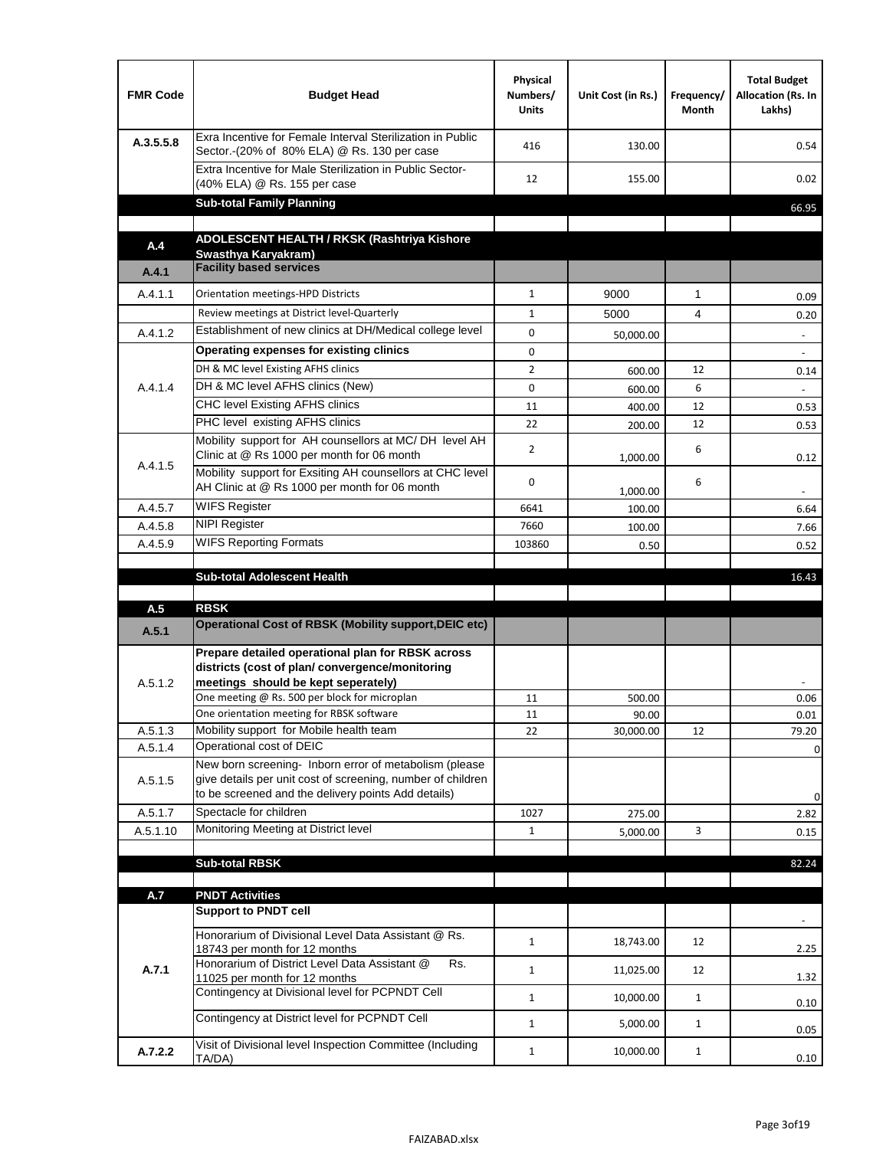| <b>FMR Code</b> | <b>Budget Head</b>                                                                                                                                                           | Physical<br>Numbers/<br><b>Units</b> | Unit Cost (in Rs.) | Frequency/<br>Month | <b>Total Budget</b><br>Allocation (Rs. In<br>Lakhs) |
|-----------------|------------------------------------------------------------------------------------------------------------------------------------------------------------------------------|--------------------------------------|--------------------|---------------------|-----------------------------------------------------|
| A.3.5.5.8       | Exra Incentive for Female Interval Sterilization in Public<br>Sector.-(20% of 80% ELA) @ Rs. 130 per case                                                                    | 416                                  | 130.00             |                     | 0.54                                                |
|                 | Extra Incentive for Male Sterilization in Public Sector-<br>(40% ELA) @ Rs. 155 per case                                                                                     | 12                                   | 155.00             |                     | 0.02                                                |
|                 | <b>Sub-total Family Planning</b>                                                                                                                                             |                                      |                    |                     | 66.95                                               |
|                 | ADOLESCENT HEALTH / RKSK (Rashtriya Kishore                                                                                                                                  |                                      |                    |                     |                                                     |
| A.4             | Swasthya Karyakram)                                                                                                                                                          |                                      |                    |                     |                                                     |
| A.4.1           | <b>Facility based services</b>                                                                                                                                               |                                      |                    |                     |                                                     |
| A.4.1.1         | Orientation meetings-HPD Districts                                                                                                                                           | $\mathbf{1}$                         | 9000               | $\mathbf{1}$        | 0.09                                                |
|                 | Review meetings at District level-Quarterly                                                                                                                                  | $\mathbf{1}$                         | 5000               | 4                   | 0.20                                                |
| A.4.1.2         | Establishment of new clinics at DH/Medical college level                                                                                                                     | 0                                    | 50,000.00          |                     | $\overline{\phantom{a}}$                            |
|                 | Operating expenses for existing clinics                                                                                                                                      | 0                                    |                    |                     |                                                     |
|                 | DH & MC level Existing AFHS clinics                                                                                                                                          | $\overline{2}$                       | 600.00             | 12                  | 0.14                                                |
| A.4.1.4         | DH & MC level AFHS clinics (New)                                                                                                                                             | 0                                    | 600.00             | 6                   |                                                     |
|                 | CHC level Existing AFHS clinics                                                                                                                                              | 11                                   | 400.00             | 12                  | 0.53                                                |
|                 | PHC level existing AFHS clinics                                                                                                                                              | 22                                   | 200.00             | 12                  | 0.53                                                |
| A.4.1.5         | Mobility support for AH counsellors at MC/DH level AH<br>Clinic at @ Rs 1000 per month for 06 month                                                                          | $\overline{2}$                       | 1,000.00           | 6                   | 0.12                                                |
|                 | Mobility support for Exsiting AH counsellors at CHC level<br>AH Clinic at @ Rs 1000 per month for 06 month                                                                   | 0                                    | 1,000.00           | 6                   |                                                     |
| A.4.5.7         | <b>WIFS Register</b>                                                                                                                                                         | 6641                                 | 100.00             |                     | 6.64                                                |
| A.4.5.8         | <b>NIPI Register</b>                                                                                                                                                         | 7660                                 | 100.00             |                     | 7.66                                                |
| A.4.5.9         | <b>WIFS Reporting Formats</b>                                                                                                                                                | 103860                               | 0.50               |                     | 0.52                                                |
|                 | <b>Sub-total Adolescent Health</b>                                                                                                                                           |                                      |                    |                     | 16.43                                               |
| A.5             | <b>RBSK</b>                                                                                                                                                                  |                                      |                    |                     |                                                     |
| A.5.1           | Operational Cost of RBSK (Mobility support, DEIC etc)                                                                                                                        |                                      |                    |                     |                                                     |
| A.5.1.2         | Prepare detailed operational plan for RBSK across<br>districts (cost of plan/convergence/monitoring<br>meetings should be kept seperately)                                   |                                      |                    |                     |                                                     |
|                 | One meeting @ Rs. 500 per block for microplan                                                                                                                                | 11                                   | 500.00             |                     | 0.06                                                |
| A.5.1.3         | One orientation meeting for RBSK software<br>Mobility support for Mobile health team                                                                                         | 11<br>22                             | 90.00<br>30,000.00 | 12                  | 0.01<br>79.20                                       |
| A.5.1.4         | Operational cost of DEIC                                                                                                                                                     |                                      |                    |                     | 0                                                   |
| A.5.1.5         | New born screening- Inborn error of metabolism (please<br>give details per unit cost of screening, number of children<br>to be screened and the delivery points Add details) |                                      |                    |                     | 0                                                   |
| A.5.1.7         | Spectacle for children                                                                                                                                                       | 1027                                 | 275.00             |                     | 2.82                                                |
| A.5.1.10        | Monitoring Meeting at District level                                                                                                                                         | $\mathbf{1}$                         | 5,000.00           | 3                   | 0.15                                                |
|                 |                                                                                                                                                                              |                                      |                    |                     |                                                     |
|                 | <b>Sub-total RBSK</b>                                                                                                                                                        |                                      |                    |                     | 82.24                                               |
| A.7             | <b>PNDT Activities</b>                                                                                                                                                       |                                      |                    |                     |                                                     |
|                 | <b>Support to PNDT cell</b>                                                                                                                                                  |                                      |                    |                     |                                                     |
|                 | Honorarium of Divisional Level Data Assistant @ Rs.<br>18743 per month for 12 months                                                                                         | $\mathbf{1}$                         | 18,743.00          | 12                  | 2.25                                                |
| A.7.1           | Honorarium of District Level Data Assistant @<br>Rs.<br>11025 per month for 12 months                                                                                        | $\mathbf{1}$                         | 11,025.00          | 12                  | 1.32                                                |
|                 | Contingency at Divisional level for PCPNDT Cell                                                                                                                              | $\mathbf{1}$                         | 10,000.00          | $\mathbf{1}$        | 0.10                                                |
|                 | Contingency at District level for PCPNDT Cell                                                                                                                                | $\mathbf{1}$                         | 5,000.00           | $\mathbf{1}$        | 0.05                                                |
| A.7.2.2         | Visit of Divisional level Inspection Committee (Including<br>TA/DA)                                                                                                          | $\mathbf{1}$                         | 10,000.00          | $\mathbf{1}$        | 0.10                                                |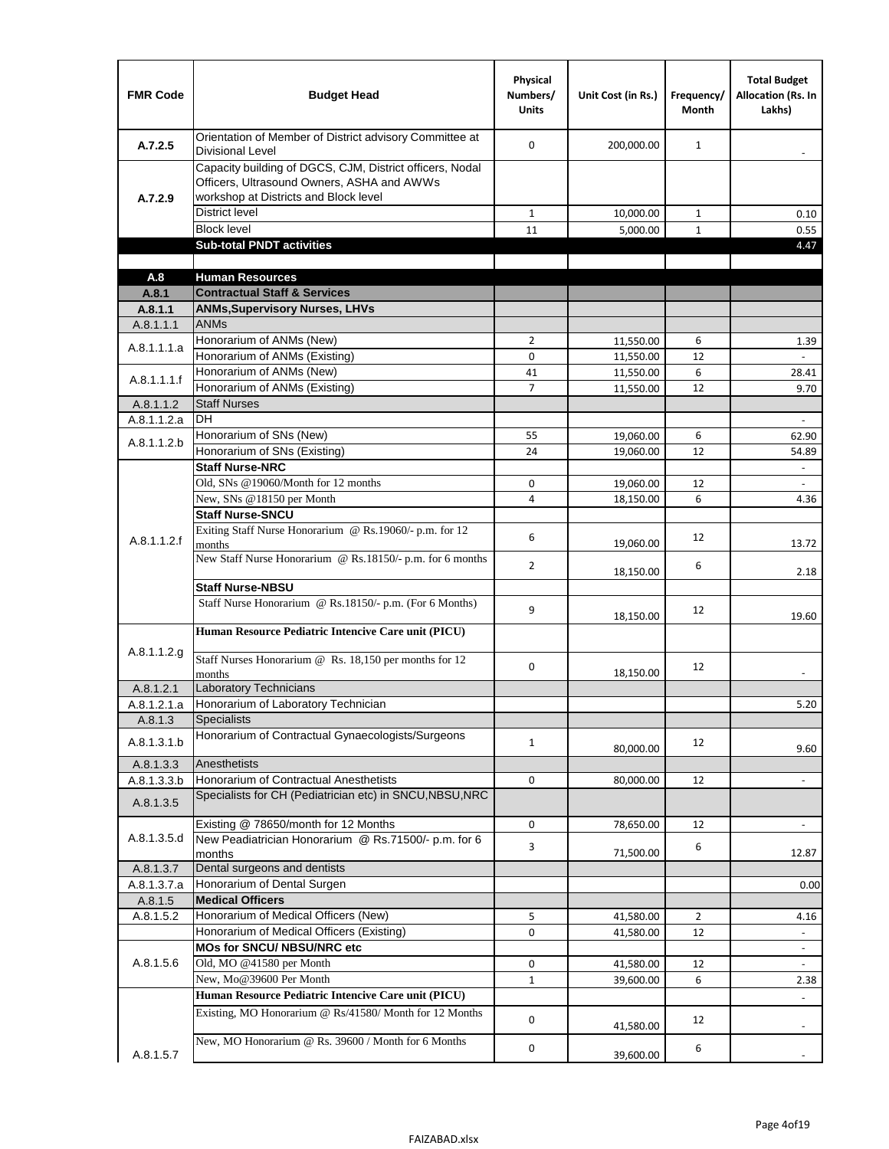| <b>FMR Code</b>      | <b>Budget Head</b>                                                                                                                              | Physical<br>Numbers/<br><b>Units</b> | Unit Cost (in Rs.)     | Frequency/<br><b>Month</b> | <b>Total Budget</b><br><b>Allocation (Rs. In</b><br>Lakhs) |
|----------------------|-------------------------------------------------------------------------------------------------------------------------------------------------|--------------------------------------|------------------------|----------------------------|------------------------------------------------------------|
| A.7.2.5              | Orientation of Member of District advisory Committee at<br><b>Divisional Level</b>                                                              | $\Omega$                             | 200,000.00             | $\mathbf{1}$               | $\overline{\phantom{m}}$                                   |
| A.7.2.9              | Capacity building of DGCS, CJM, District officers, Nodal<br>Officers, Ultrasound Owners, ASHA and AWWs<br>workshop at Districts and Block level |                                      |                        |                            |                                                            |
|                      | <b>District level</b>                                                                                                                           | $\mathbf{1}$                         | 10,000.00              | 1                          | 0.10                                                       |
|                      | <b>Block level</b>                                                                                                                              | 11                                   | 5,000.00               | $\mathbf{1}$               | 0.55                                                       |
|                      | <b>Sub-total PNDT activities</b>                                                                                                                |                                      |                        |                            | 4.47                                                       |
|                      |                                                                                                                                                 |                                      |                        |                            |                                                            |
| A.8                  | <b>Human Resources</b>                                                                                                                          |                                      |                        |                            |                                                            |
| A.8.1                | <b>Contractual Staff &amp; Services</b>                                                                                                         |                                      |                        |                            |                                                            |
| A.8.1.1<br>A.8.1.1.1 | <b>ANMs, Supervisory Nurses, LHVs</b><br><b>ANMs</b>                                                                                            |                                      |                        |                            |                                                            |
|                      | Honorarium of ANMs (New)                                                                                                                        | $\overline{2}$                       |                        | 6                          |                                                            |
| A.8.1.1.1.a          | Honorarium of ANMs (Existing)                                                                                                                   | 0                                    | 11,550.00<br>11,550.00 | 12                         | 1.39                                                       |
|                      | Honorarium of ANMs (New)                                                                                                                        | 41                                   | 11,550.00              | 6                          | 28.41                                                      |
| A.8.1.1.1.f          | Honorarium of ANMs (Existing)                                                                                                                   | 7                                    | 11,550.00              | 12                         | 9.70                                                       |
| A.8.1.1.2            | <b>Staff Nurses</b>                                                                                                                             |                                      |                        |                            |                                                            |
| A.8.1.1.2.a          | <b>DH</b>                                                                                                                                       |                                      |                        |                            | $\Box$                                                     |
|                      | Honorarium of SNs (New)                                                                                                                         | 55                                   | 19,060.00              | 6                          | 62.90                                                      |
| A.8.1.1.2.b          | Honorarium of SNs (Existing)                                                                                                                    | 24                                   | 19.060.00              | 12                         | 54.89                                                      |
|                      | <b>Staff Nurse-NRC</b>                                                                                                                          |                                      |                        |                            | $\blacksquare$                                             |
|                      | Old, SNs @19060/Month for 12 months                                                                                                             | 0                                    | 19,060.00              | 12                         | $\overline{\phantom{a}}$                                   |
|                      | New, SNs @18150 per Month                                                                                                                       | 4                                    | 18,150.00              | 6                          | 4.36                                                       |
|                      | <b>Staff Nurse-SNCU</b>                                                                                                                         |                                      |                        |                            |                                                            |
| A.8.1.1.2.f          | Exiting Staff Nurse Honorarium @ Rs.19060/- p.m. for 12<br>months                                                                               | 6                                    | 19,060.00              | 12                         | 13.72                                                      |
|                      | New Staff Nurse Honorarium @ Rs.18150/- p.m. for 6 months                                                                                       | $\overline{2}$                       | 18,150.00              | 6                          | 2.18                                                       |
|                      | <b>Staff Nurse-NBSU</b>                                                                                                                         |                                      |                        |                            |                                                            |
|                      | Staff Nurse Honorarium @ Rs.18150/- p.m. (For 6 Months)                                                                                         | 9                                    | 18,150.00              | 12                         | 19.60                                                      |
|                      | Human Resource Pediatric Intencive Care unit (PICU)                                                                                             |                                      |                        |                            |                                                            |
| A.8.1.1.2.g          | Staff Nurses Honorarium @ Rs. 18,150 per months for 12<br>months                                                                                | 0                                    | 18,150.00              | 12                         |                                                            |
| A.8.1.2.1            | Laboratory Technicians                                                                                                                          |                                      |                        |                            |                                                            |
| A.8.1.2.1.a          | Honorarium of Laboratory Technician                                                                                                             |                                      |                        |                            | 5.20                                                       |
| A.8.1.3              | <b>Specialists</b>                                                                                                                              |                                      |                        |                            |                                                            |
| A.8.1.3.1.b          | Honorarium of Contractual Gynaecologists/Surgeons                                                                                               | $\mathbf{1}$                         | 80,000.00              | 12                         | 9.60                                                       |
| A.8.1.3.3            | Anesthetists                                                                                                                                    |                                      |                        |                            |                                                            |
| A.8.1.3.3.b          | Honorarium of Contractual Anesthetists                                                                                                          | 0                                    | 80,000.00              | 12                         | $\blacksquare$                                             |
| A.8.1.3.5            | Specialists for CH (Pediatrician etc) in SNCU, NBSU, NRC                                                                                        |                                      |                        |                            |                                                            |
|                      | Existing @ 78650/month for 12 Months                                                                                                            | 0                                    | 78,650.00              | 12                         | $\blacksquare$                                             |
| A.8.1.3.5.d          | New Peadiatrician Honorarium @ Rs.71500/- p.m. for 6<br>months                                                                                  | 3                                    | 71,500.00              | 6                          | 12.87                                                      |
| A.8.1.3.7            | Dental surgeons and dentists                                                                                                                    |                                      |                        |                            |                                                            |
| A.8.1.3.7.a          | Honorarium of Dental Surgen                                                                                                                     |                                      |                        |                            | 0.00                                                       |
| A.8.1.5              | <b>Medical Officers</b>                                                                                                                         |                                      |                        |                            |                                                            |
| A.8.1.5.2            | Honorarium of Medical Officers (New)                                                                                                            | 5                                    | 41,580.00              | $\overline{2}$             | 4.16                                                       |
|                      | Honorarium of Medical Officers (Existing)                                                                                                       | 0                                    | 41,580.00              | 12                         |                                                            |
|                      | MOs for SNCU/ NBSU/NRC etc                                                                                                                      |                                      |                        |                            |                                                            |
| A.8.1.5.6            | Old, MO @41580 per Month                                                                                                                        | 0                                    | 41,580.00              | 12                         | $\blacksquare$                                             |
|                      | New, Mo@39600 Per Month                                                                                                                         | $\mathbf{1}$                         | 39,600.00              | 6                          | 2.38                                                       |
|                      | Human Resource Pediatric Intencive Care unit (PICU)                                                                                             |                                      |                        |                            |                                                            |
|                      | Existing, MO Honorarium @ Rs/41580/ Month for 12 Months                                                                                         | $\mathbf 0$                          | 41,580.00              | 12                         |                                                            |
| A.8.1.5.7            | New, MO Honorarium @ Rs. 39600 / Month for 6 Months                                                                                             | 0                                    | 39,600.00              | 6                          |                                                            |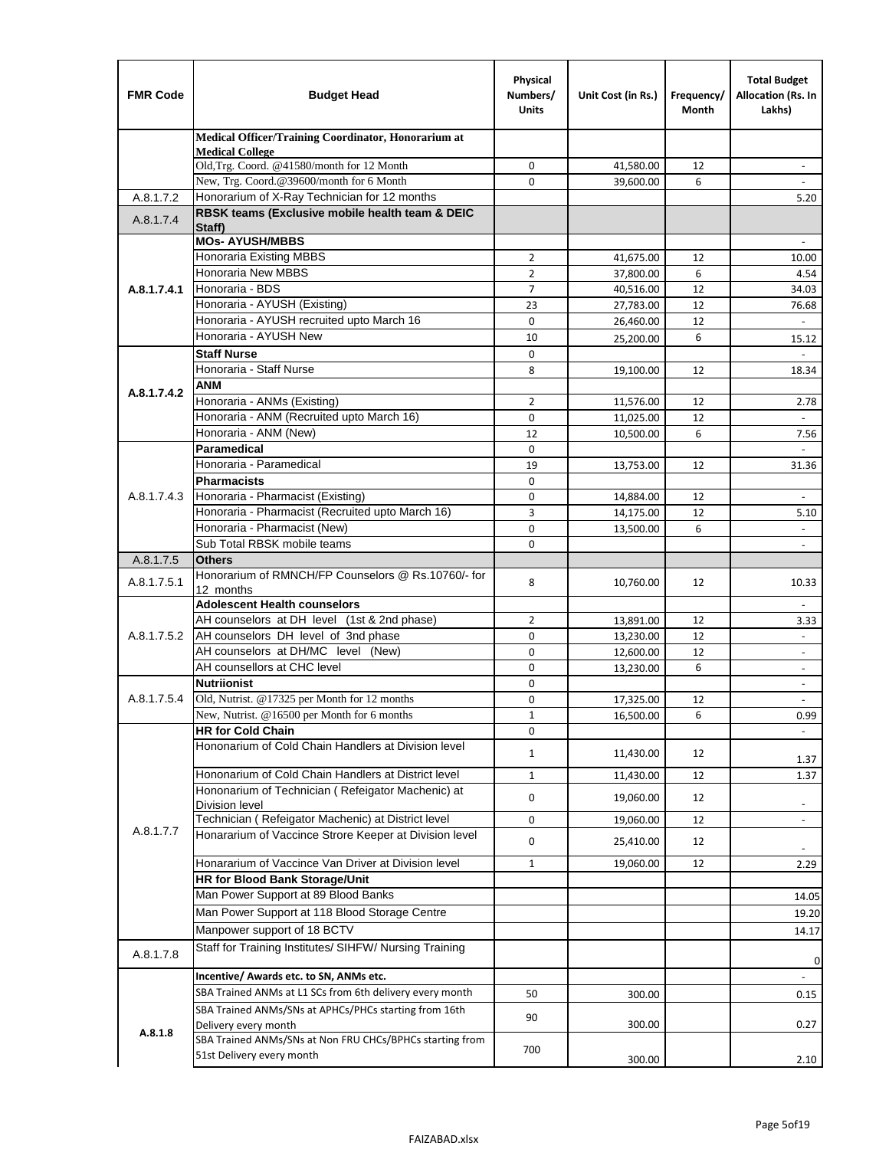| <b>FMR Code</b> | <b>Budget Head</b>                                                                    | Physical<br>Numbers/<br><b>Units</b> | Unit Cost (in Rs.)     | Frequency/<br>Month | <b>Total Budget</b><br>Allocation (Rs. In<br>Lakhs) |
|-----------------|---------------------------------------------------------------------------------------|--------------------------------------|------------------------|---------------------|-----------------------------------------------------|
|                 | Medical Officer/Training Coordinator, Honorarium at                                   |                                      |                        |                     |                                                     |
|                 | <b>Medical College</b><br>Old, Trg. Coord. @41580/month for 12 Month                  | 0                                    | 41,580.00              | 12                  |                                                     |
|                 | New, Trg. Coord.@39600/month for 6 Month                                              | $\Omega$                             | 39,600.00              | 6                   |                                                     |
| A.8.1.7.2       | Honorarium of X-Ray Technician for 12 months                                          |                                      |                        |                     | 5.20                                                |
| A.8.1.7.4       | RBSK teams (Exclusive mobile health team & DEIC                                       |                                      |                        |                     |                                                     |
|                 | Staff)<br><b>MOs- AYUSH/MBBS</b>                                                      |                                      |                        |                     |                                                     |
|                 | Honoraria Existing MBBS                                                               | $\overline{2}$                       | 41,675.00              | 12                  | 10.00                                               |
|                 | Honoraria New MBBS                                                                    | $\overline{2}$                       | 37,800.00              | 6                   | 4.54                                                |
| A.8.1.7.4.1     | Honoraria - BDS                                                                       | $\overline{7}$                       | 40,516.00              | 12                  | 34.03                                               |
|                 | Honoraria - AYUSH (Existing)                                                          | 23                                   | 27,783.00              | 12                  | 76.68                                               |
|                 | Honoraria - AYUSH recruited upto March 16                                             | $\mathbf 0$                          | 26,460.00              | 12                  |                                                     |
|                 | Honoraria - AYUSH New                                                                 | 10                                   | 25,200.00              | 6                   | 15.12                                               |
|                 | <b>Staff Nurse</b>                                                                    | $\mathbf 0$                          |                        |                     | $\mathbb{Z}^{\mathbb{Z}}$                           |
|                 | Honoraria - Staff Nurse                                                               | 8                                    | 19,100.00              | 12                  | 18.34                                               |
| A.8.1.7.4.2     | ANM                                                                                   |                                      |                        |                     |                                                     |
|                 | Honoraria - ANMs (Existing)                                                           | $\overline{2}$                       | 11,576.00              | 12                  | 2.78                                                |
|                 | Honoraria - ANM (Recruited upto March 16)                                             | $\mathbf 0$                          | 11,025.00              | 12                  |                                                     |
|                 | Honoraria - ANM (New)                                                                 | 12                                   | 10,500.00              | 6                   | 7.56                                                |
|                 | <b>Paramedical</b>                                                                    | $\mathbf 0$                          |                        |                     | $\blacksquare$                                      |
|                 | Honoraria - Paramedical<br><b>Pharmacists</b>                                         | 19                                   | 13,753.00              | 12                  | 31.36                                               |
| A.8.1.7.4.3     | Honoraria - Pharmacist (Existing)                                                     | $\mathbf 0$<br>0                     |                        | 12                  |                                                     |
|                 | Honoraria - Pharmacist (Recruited upto March 16)                                      | 3                                    | 14,884.00              | 12                  | $\blacksquare$                                      |
|                 | Honoraria - Pharmacist (New)                                                          | $\mathbf 0$                          | 14,175.00<br>13,500.00 | 6                   | 5.10<br>$\blacksquare$                              |
|                 | Sub Total RBSK mobile teams                                                           | $\Omega$                             |                        |                     | $\overline{\phantom{a}}$                            |
| A.8.1.7.5       | <b>Others</b>                                                                         |                                      |                        |                     |                                                     |
| A.8.1.7.5.1     | Honorarium of RMNCH/FP Counselors @ Rs.10760/- for                                    | 8                                    | 10,760.00              | 12                  | 10.33                                               |
|                 | 12 months<br><b>Adolescent Health counselors</b>                                      |                                      |                        |                     |                                                     |
|                 | AH counselors at DH level (1st & 2nd phase)                                           | 2                                    | 13,891.00              | 12                  | $\overline{\phantom{a}}$<br>3.33                    |
| A.8.1.7.5.2     | AH counselors DH level of 3nd phase                                                   | $\mathbf 0$                          | 13,230.00              | 12                  | $\overline{\phantom{a}}$                            |
|                 | AH counselors at DH/MC level (New)                                                    | 0                                    | 12,600.00              | 12                  | $\overline{\phantom{a}}$                            |
|                 | AH counsellors at CHC level                                                           | $\mathbf 0$                          | 13,230.00              | 6                   | $\blacksquare$                                      |
|                 | <b>Nutriionist</b>                                                                    | $\mathbf 0$                          |                        |                     | $\overline{\phantom{a}}$                            |
| A.8.1.7.5.4     | Old, Nutrist. @17325 per Month for 12 months                                          | $\mathbf 0$                          | 17,325.00              | 12                  | $\overline{\phantom{a}}$                            |
|                 | New, Nutrist. @16500 per Month for 6 months                                           | 1                                    | 16,500.00              | 6                   | 0.99                                                |
|                 | <b>HR for Cold Chain</b>                                                              | 0                                    |                        |                     |                                                     |
|                 | Hononarium of Cold Chain Handlers at Division level                                   | 1                                    | 11,430.00              | 12                  | 1.37                                                |
|                 | Hononarium of Cold Chain Handlers at District level                                   | 1                                    | 11,430.00              | 12                  | 1.37                                                |
|                 | Hononarium of Technician (Refeigator Machenic) at                                     |                                      |                        |                     |                                                     |
|                 | <b>Division level</b>                                                                 | 0                                    | 19,060.00              | 12                  | $\overline{\phantom{a}}$                            |
|                 | Technician (Refeigator Machenic) at District level                                    | 0                                    | 19,060.00              | 12                  | $\overline{\phantom{a}}$                            |
| A.8.1.7.7       | Honararium of Vaccince Strore Keeper at Division level                                | 0                                    | 25,410.00              | 12                  | $\overline{\phantom{a}}$                            |
|                 | Honararium of Vaccince Van Driver at Division level                                   | $\mathbf{1}$                         | 19,060.00              | 12                  | 2.29                                                |
|                 | <b>HR for Blood Bank Storage/Unit</b>                                                 |                                      |                        |                     |                                                     |
|                 | Man Power Support at 89 Blood Banks                                                   |                                      |                        |                     | 14.05                                               |
|                 | Man Power Support at 118 Blood Storage Centre                                         |                                      |                        |                     | 19.20                                               |
|                 | Manpower support of 18 BCTV                                                           |                                      |                        |                     | 14.17                                               |
| A.8.1.7.8       | Staff for Training Institutes/ SIHFW/ Nursing Training                                |                                      |                        |                     | 0                                                   |
|                 | Incentive/ Awards etc. to SN, ANMs etc.                                               |                                      |                        |                     |                                                     |
|                 | SBA Trained ANMs at L1 SCs from 6th delivery every month                              | 50                                   | 300.00                 |                     | 0.15                                                |
|                 | SBA Trained ANMs/SNs at APHCs/PHCs starting from 16th                                 | 90                                   |                        |                     |                                                     |
| A.8.1.8         | Delivery every month                                                                  |                                      | 300.00                 |                     | 0.27                                                |
|                 | SBA Trained ANMs/SNs at Non FRU CHCs/BPHCs starting from<br>51st Delivery every month | 700                                  |                        |                     |                                                     |
|                 |                                                                                       |                                      | 300.00                 |                     | 2.10                                                |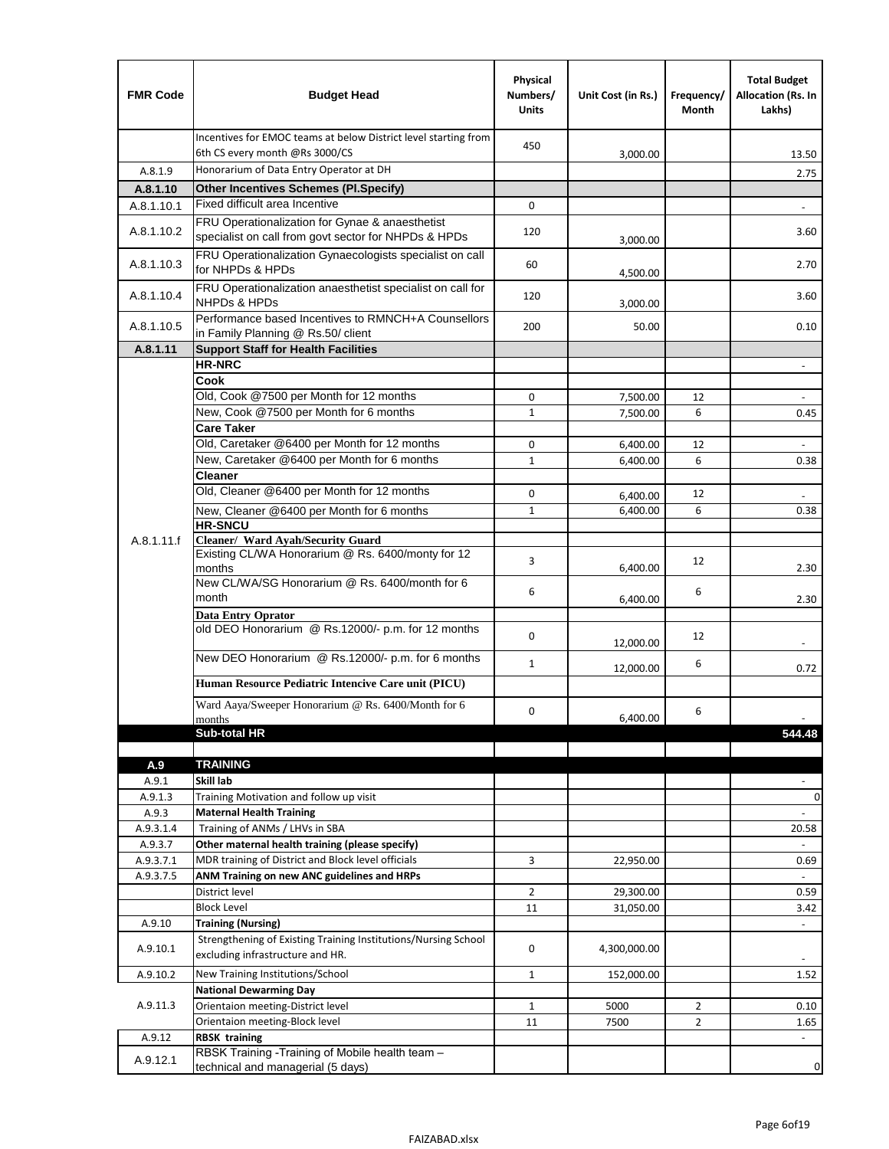| <b>FMR Code</b>  | <b>Budget Head</b>                                                                                      | Physical<br>Numbers/<br><b>Units</b> | Unit Cost (in Rs.)   | Frequency/<br>Month | <b>Total Budget</b><br>Allocation (Rs. In<br>Lakhs) |
|------------------|---------------------------------------------------------------------------------------------------------|--------------------------------------|----------------------|---------------------|-----------------------------------------------------|
|                  | Incentives for EMOC teams at below District level starting from<br>6th CS every month @Rs 3000/CS       | 450                                  | 3,000.00             |                     | 13.50                                               |
| A.8.1.9          | Honorarium of Data Entry Operator at DH                                                                 |                                      |                      |                     | 2.75                                                |
| A.8.1.10         | <b>Other Incentives Schemes (PI.Specify)</b>                                                            |                                      |                      |                     |                                                     |
| A.8.1.10.1       | Fixed difficult area Incentive                                                                          | $\mathbf 0$                          |                      |                     |                                                     |
| A.8.1.10.2       | FRU Operationalization for Gynae & anaesthetist<br>specialist on call from govt sector for NHPDs & HPDs | 120                                  | 3,000.00             |                     | 3.60                                                |
| A.8.1.10.3       | FRU Operationalization Gynaecologists specialist on call<br>for NHPDs & HPDs                            | 60                                   | 4,500.00             |                     | 2.70                                                |
| A.8.1.10.4       | FRU Operationalization anaesthetist specialist on call for<br><b>NHPDs &amp; HPDs</b>                   | 120                                  | 3,000.00             |                     | 3.60                                                |
| A.8.1.10.5       | Performance based Incentives to RMNCH+A Counsellors<br>in Family Planning @ Rs.50/ client               | 200                                  | 50.00                |                     | 0.10                                                |
| A.8.1.11         | <b>Support Staff for Health Facilities</b>                                                              |                                      |                      |                     |                                                     |
|                  | <b>HR-NRC</b>                                                                                           |                                      |                      |                     | $\overline{\phantom{m}}$                            |
|                  | Cook                                                                                                    |                                      |                      |                     |                                                     |
|                  | Old, Cook @7500 per Month for 12 months                                                                 | 0                                    | 7,500.00             | 12                  | $\Box$                                              |
|                  | New, Cook @7500 per Month for 6 months                                                                  | $\mathbf{1}$                         | 7,500.00             | 6                   | 0.45                                                |
|                  | <b>Care Taker</b>                                                                                       |                                      |                      |                     |                                                     |
|                  | Old, Caretaker @6400 per Month for 12 months<br>New, Caretaker @6400 per Month for 6 months             | $\mathbf 0$<br>$\mathbf{1}$          | 6,400.00             | 12<br>6             | $\overline{\phantom{a}}$                            |
|                  | <b>Cleaner</b>                                                                                          |                                      | 6,400.00             |                     | 0.38                                                |
|                  | Old, Cleaner @6400 per Month for 12 months                                                              | $\mathbf 0$                          |                      | 12                  |                                                     |
|                  | New, Cleaner @6400 per Month for 6 months                                                               | $\mathbf{1}$                         | 6,400.00<br>6,400.00 | 6                   | 0.38                                                |
|                  | <b>HR-SNCU</b>                                                                                          |                                      |                      |                     |                                                     |
| A.8.1.11.f       | Cleaner/ Ward Ayah/Security Guard                                                                       |                                      |                      |                     |                                                     |
|                  | Existing CL/WA Honorarium @ Rs. 6400/monty for 12<br>months                                             | 3                                    | 6,400.00             | 12                  | 2.30                                                |
|                  | New CL/WA/SG Honorarium @ Rs. 6400/month for 6<br>month                                                 | 6                                    | 6,400.00             | 6                   | 2.30                                                |
|                  | <b>Data Entry Oprator</b>                                                                               |                                      |                      |                     |                                                     |
|                  | old DEO Honorarium @ Rs.12000/- p.m. for 12 months                                                      | $\mathbf 0$                          | 12,000.00            | 12                  |                                                     |
|                  | New DEO Honorarium @ Rs.12000/- p.m. for 6 months                                                       | $\mathbf{1}$                         | 12,000.00            | 6                   | 0.72                                                |
|                  | Human Resource Pediatric Intencive Care unit (PICU)                                                     |                                      |                      |                     |                                                     |
|                  | Ward Aaya/Sweeper Honorarium @ Rs. 6400/Month for 6                                                     |                                      |                      |                     |                                                     |
|                  | months                                                                                                  | $\mathbf 0$                          | 6,400.00             | 6                   |                                                     |
|                  | Sub-total HR                                                                                            |                                      |                      |                     | 544.48                                              |
|                  |                                                                                                         |                                      |                      |                     |                                                     |
| A.9              | <b>TRAINING</b><br>Skill lab                                                                            |                                      |                      |                     |                                                     |
| A.9.1<br>A.9.1.3 | Training Motivation and follow up visit                                                                 |                                      |                      |                     | $\mathbf 0$                                         |
| A.9.3            | <b>Maternal Health Training</b>                                                                         |                                      |                      |                     |                                                     |
| A.9.3.1.4        | Training of ANMs / LHVs in SBA                                                                          |                                      |                      |                     | 20.58                                               |
| A.9.3.7          | Other maternal health training (please specify)                                                         |                                      |                      |                     |                                                     |
| A.9.3.7.1        | MDR training of District and Block level officials                                                      | 3                                    | 22,950.00            |                     | 0.69                                                |
| A.9.3.7.5        | ANM Training on new ANC guidelines and HRPs                                                             |                                      |                      |                     |                                                     |
|                  | District level                                                                                          | $\overline{2}$                       | 29,300.00            |                     | 0.59                                                |
|                  | <b>Block Level</b>                                                                                      | 11                                   | 31,050.00            |                     | 3.42                                                |
| A.9.10           | <b>Training (Nursing)</b>                                                                               |                                      |                      |                     | $\blacksquare$                                      |
| A.9.10.1         | Strengthening of Existing Training Institutions/Nursing School<br>excluding infrastructure and HR.      | 0                                    | 4,300,000.00         |                     |                                                     |
| A.9.10.2         | New Training Institutions/School                                                                        | $\mathbf{1}$                         | 152,000.00           |                     | 1.52                                                |
|                  | <b>National Dewarming Day</b>                                                                           |                                      |                      |                     |                                                     |
| A.9.11.3         | Orientaion meeting-District level                                                                       | 1                                    | 5000                 | $\overline{2}$      | 0.10                                                |
|                  | Orientaion meeting-Block level                                                                          | 11                                   | 7500                 | $\overline{2}$      | 1.65                                                |
| A.9.12           | <b>RBSK training</b>                                                                                    |                                      |                      |                     |                                                     |
| A.9.12.1         | RBSK Training -Training of Mobile health team -<br>technical and managerial (5 days)                    |                                      |                      |                     | 0                                                   |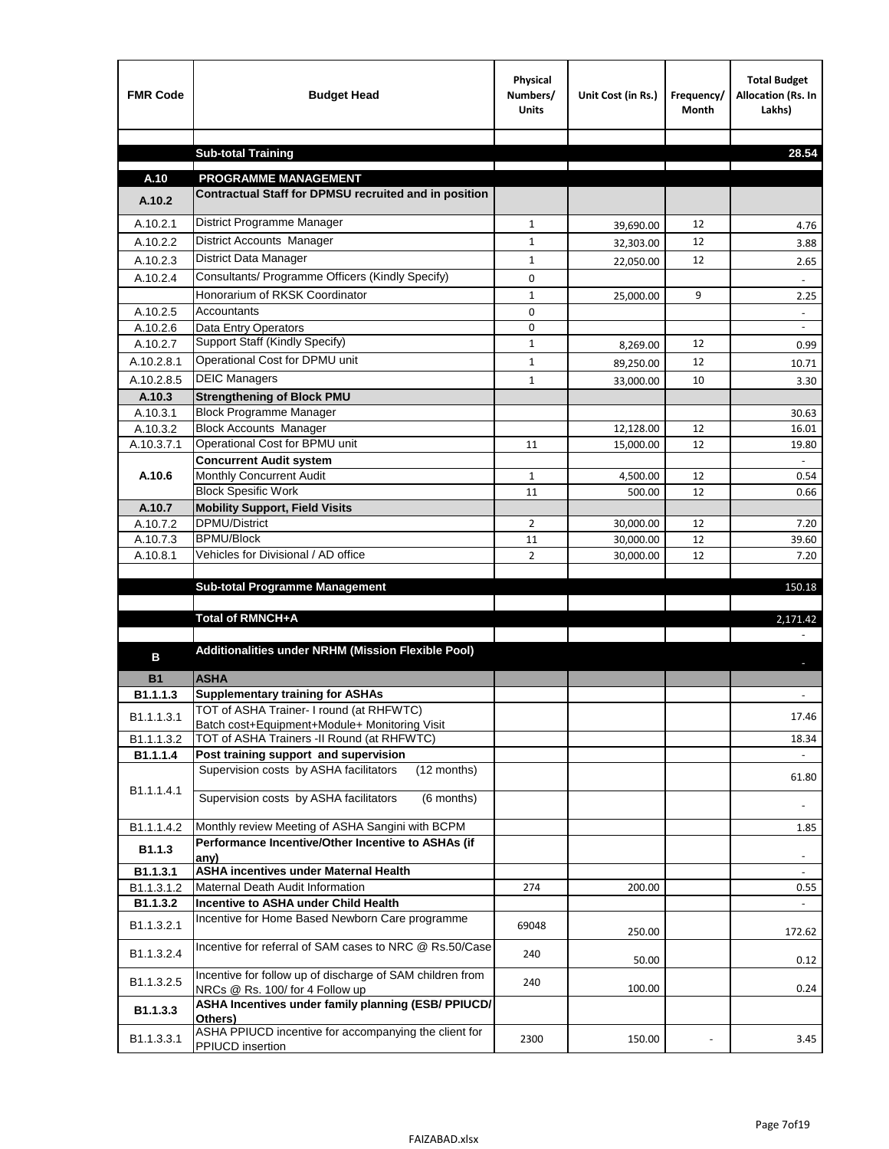| <b>FMR Code</b>        | <b>Budget Head</b>                                                                           | Physical<br>Numbers/<br><b>Units</b> | Unit Cost (in Rs.) | Frequency/<br>Month | <b>Total Budget</b><br>Allocation (Rs. In<br>Lakhs) |
|------------------------|----------------------------------------------------------------------------------------------|--------------------------------------|--------------------|---------------------|-----------------------------------------------------|
|                        |                                                                                              |                                      |                    |                     |                                                     |
|                        | <b>Sub-total Training</b>                                                                    |                                      |                    |                     | 28.54                                               |
| A.10                   | <b>PROGRAMME MANAGEMENT</b>                                                                  |                                      |                    |                     |                                                     |
| A.10.2                 | Contractual Staff for DPMSU recruited and in position                                        |                                      |                    |                     |                                                     |
| A.10.2.1               | District Programme Manager                                                                   | $\mathbf{1}$                         |                    | 12                  |                                                     |
| A.10.2.2               | <b>District Accounts Manager</b>                                                             | $\mathbf{1}$                         | 39,690.00          | 12                  | 4.76<br>3.88                                        |
| A.10.2.3               | District Data Manager                                                                        | $\mathbf{1}$                         | 32,303.00          | 12                  |                                                     |
| A.10.2.4               | Consultants/ Programme Officers (Kindly Specify)                                             | $\mathbf 0$                          | 22,050.00          |                     | 2.65                                                |
|                        | Honorarium of RKSK Coordinator                                                               | $\mathbf{1}$                         | 25,000.00          | 9                   | 2.25                                                |
| A.10.2.5               | Accountants                                                                                  | 0                                    |                    |                     |                                                     |
| A.10.2.6               | Data Entry Operators                                                                         | 0                                    |                    |                     | $\blacksquare$                                      |
| A.10.2.7               | Support Staff (Kindly Specify)                                                               | $\mathbf{1}$                         | 8,269.00           | 12                  | 0.99                                                |
| A.10.2.8.1             | Operational Cost for DPMU unit                                                               | $\mathbf{1}$                         | 89,250.00          | 12                  | 10.71                                               |
| A.10.2.8.5             | <b>DEIC Managers</b>                                                                         | $\mathbf{1}$                         | 33,000.00          | 10                  | 3.30                                                |
| A.10.3                 | <b>Strengthening of Block PMU</b>                                                            |                                      |                    |                     |                                                     |
| A.10.3.1               | <b>Block Programme Manager</b>                                                               |                                      |                    |                     | 30.63                                               |
| A.10.3.2               | <b>Block Accounts Manager</b>                                                                |                                      | 12,128.00          | 12                  | 16.01                                               |
| A.10.3.7.1             | Operational Cost for BPMU unit                                                               | 11                                   | 15,000.00          | 12                  | 19.80                                               |
|                        | <b>Concurrent Audit system</b>                                                               |                                      |                    |                     |                                                     |
| A.10.6                 | Monthly Concurrent Audit<br><b>Block Spesific Work</b>                                       | $\mathbf{1}$<br>11                   | 4,500.00           | 12                  | 0.54                                                |
| A.10.7                 | <b>Mobility Support, Field Visits</b>                                                        |                                      | 500.00             | 12                  | 0.66                                                |
| A.10.7.2               | DPMU/District                                                                                | 2                                    | 30,000.00          | 12                  | 7.20                                                |
| A.10.7.3               | <b>BPMU/Block</b>                                                                            | 11                                   | 30,000.00          | 12                  | 39.60                                               |
| A.10.8.1               | Vehicles for Divisional / AD office                                                          | $\overline{2}$                       | 30,000.00          | 12                  | 7.20                                                |
|                        |                                                                                              |                                      |                    |                     |                                                     |
|                        | <b>Sub-total Programme Management</b>                                                        |                                      |                    |                     | 150.18                                              |
|                        |                                                                                              |                                      |                    |                     |                                                     |
|                        | Total of RMNCH+A                                                                             |                                      |                    |                     | 2,171.42                                            |
| в                      | Additionalities under NRHM (Mission Flexible Pool)                                           |                                      |                    |                     |                                                     |
| <b>B1</b>              | <b>ASHA</b>                                                                                  |                                      |                    |                     |                                                     |
| B1.1.1.3               | <b>Supplementary training for ASHAs</b>                                                      |                                      |                    |                     |                                                     |
| B1.1.1.3.1             | TOT of ASHA Trainer- I round (at RHFWTC)                                                     |                                      |                    |                     | 17.46                                               |
|                        | Batch cost+Equipment+Module+ Monitoring Visit                                                |                                      |                    |                     |                                                     |
| B1.1.1.3.2<br>B1.1.1.4 | TOT of ASHA Trainers -II Round (at RHFWTC)<br>Post training support and supervision          |                                      |                    |                     | 18.34<br>$\sim$                                     |
|                        | Supervision costs by ASHA facilitators<br>(12 months)                                        |                                      |                    |                     |                                                     |
| B1.1.1.4.1             |                                                                                              |                                      |                    |                     | 61.80                                               |
|                        | Supervision costs by ASHA facilitators<br>(6 months)                                         |                                      |                    |                     |                                                     |
| B1.1.1.4.2             | Monthly review Meeting of ASHA Sangini with BCPM                                             |                                      |                    |                     | 1.85                                                |
| B <sub>1.1.3</sub>     | Performance Incentive/Other Incentive to ASHAs (if                                           |                                      |                    |                     |                                                     |
| B1.1.3.1               | any)<br><b>ASHA incentives under Maternal Health</b>                                         |                                      |                    |                     |                                                     |
| B1.1.3.1.2             | Maternal Death Audit Information                                                             | 274                                  | 200.00             |                     | 0.55                                                |
| B1.1.3.2               | Incentive to ASHA under Child Health                                                         |                                      |                    |                     | $\omega$ .                                          |
| B1.1.3.2.1             | Incentive for Home Based Newborn Care programme                                              | 69048                                | 250.00             |                     | 172.62                                              |
| B1.1.3.2.4             | Incentive for referral of SAM cases to NRC @ Rs.50/Case                                      | 240                                  | 50.00              |                     | 0.12                                                |
| B1.1.3.2.5             | Incentive for follow up of discharge of SAM children from<br>NRCs @ Rs. 100/ for 4 Follow up | 240                                  | 100.00             |                     | 0.24                                                |
| B1.1.3.3               | ASHA Incentives under family planning (ESB/ PPIUCD/<br>Others)                               |                                      |                    |                     |                                                     |
| B1.1.3.3.1             | ASHA PPIUCD incentive for accompanying the client for<br>PPIUCD insertion                    | 2300                                 | 150.00             |                     | 3.45                                                |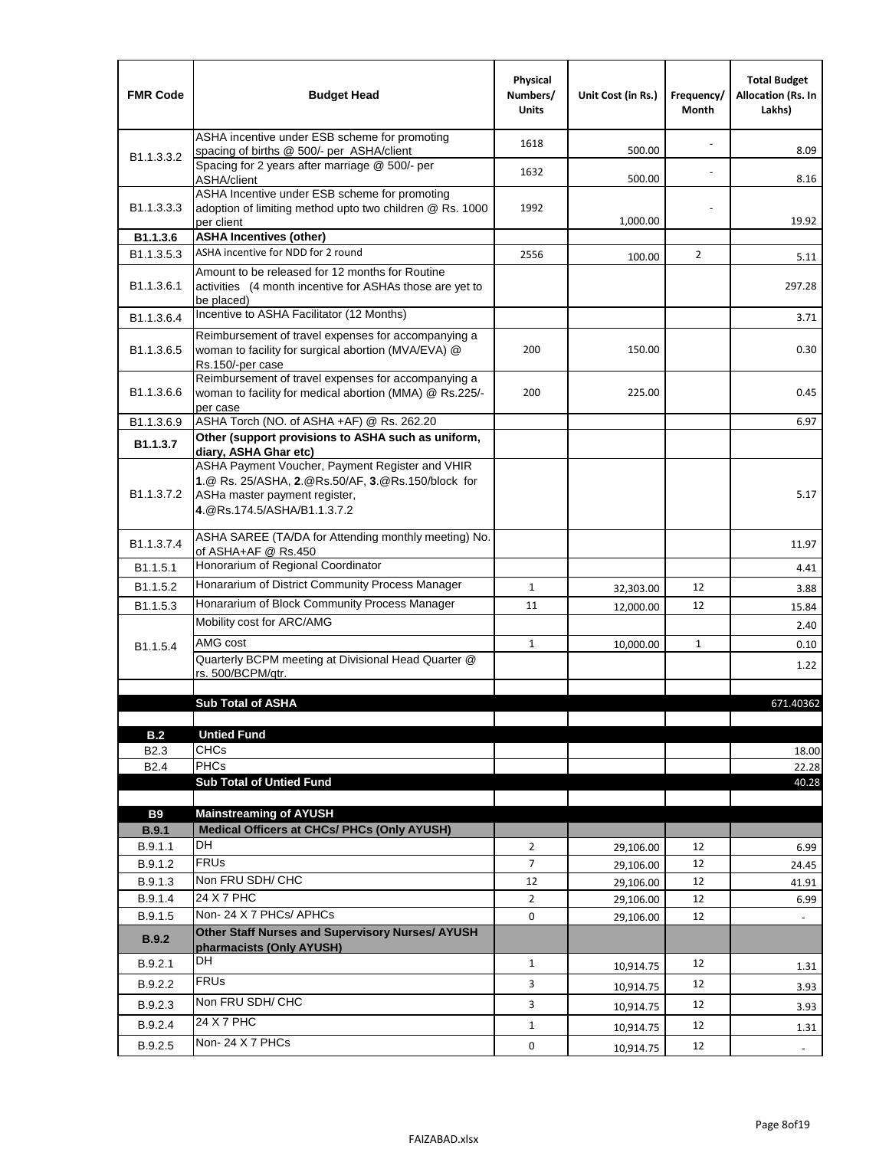| <b>FMR Code</b>            | <b>Budget Head</b>                                                                                                                                                                             | Physical<br>Numbers/<br><b>Units</b> | Unit Cost (in Rs.) | Frequency/<br>Month | <b>Total Budget</b><br><b>Allocation (Rs. In</b><br>Lakhs) |
|----------------------------|------------------------------------------------------------------------------------------------------------------------------------------------------------------------------------------------|--------------------------------------|--------------------|---------------------|------------------------------------------------------------|
|                            | ASHA incentive under ESB scheme for promoting<br>spacing of births @ 500/- per ASHA/client                                                                                                     | 1618                                 | 500.00             |                     | 8.09                                                       |
| B <sub>1.1</sub> , 3, 3, 2 | Spacing for 2 years after marriage @ 500/- per<br>ASHA/client                                                                                                                                  | 1632                                 | 500.00             |                     | 8.16                                                       |
| B1.1.3.3.3                 | ASHA Incentive under ESB scheme for promoting<br>adoption of limiting method upto two children @ Rs. 1000<br>per client                                                                        | 1992                                 | 1,000.00           |                     | 19.92                                                      |
| B1.1.3.6                   | <b>ASHA Incentives (other)</b>                                                                                                                                                                 |                                      |                    |                     |                                                            |
| B <sub>1.1</sub> , 3, 5, 3 | ASHA incentive for NDD for 2 round                                                                                                                                                             | 2556                                 | 100.00             | $\overline{2}$      | 5.11                                                       |
| B <sub>1.1</sub> .3.6.1    | Amount to be released for 12 months for Routine<br>activities (4 month incentive for ASHAs those are yet to<br>be placed)                                                                      |                                      |                    |                     | 297.28                                                     |
| B1.1.3.6.4                 | Incentive to ASHA Facilitator (12 Months)                                                                                                                                                      |                                      |                    |                     | 3.71                                                       |
| B <sub>1.1</sub> .3.6.5    | Reimbursement of travel expenses for accompanying a<br>woman to facility for surgical abortion (MVA/EVA) @<br>Rs.150/-per case                                                                 | 200                                  | 150.00             |                     | 0.30                                                       |
| B <sub>1.1</sub> .3.6.6    | Reimbursement of travel expenses for accompanying a<br>woman to facility for medical abortion (MMA) @ Rs.225/-<br>per case                                                                     | 200                                  | 225.00             |                     | 0.45                                                       |
| B1.1.3.6.9                 | ASHA Torch (NO. of ASHA +AF) @ Rs. 262.20                                                                                                                                                      |                                      |                    |                     | 6.97                                                       |
| B1.1.3.7                   | Other (support provisions to ASHA such as uniform,                                                                                                                                             |                                      |                    |                     |                                                            |
| B <sub>1.1</sub> .3.7.2    | diary, ASHA Ghar etc)<br>ASHA Payment Voucher, Payment Register and VHIR<br>1.@ Rs. 25/ASHA, 2.@Rs.50/AF, 3.@Rs.150/block for<br>ASHa master payment register,<br>4. @Rs.174.5/ASHA/B1.1.3.7.2 |                                      |                    |                     | 5.17                                                       |
| B <sub>1.1</sub> , 3.7.4   | ASHA SAREE (TA/DA for Attending monthly meeting) No.<br>of ASHA+AF @ Rs.450                                                                                                                    |                                      |                    |                     | 11.97                                                      |
| B <sub>1.1</sub> .5.1      | Honorarium of Regional Coordinator                                                                                                                                                             |                                      |                    |                     | 4.41                                                       |
| B1.1.5.2                   | Honararium of District Community Process Manager                                                                                                                                               | $\mathbf{1}$                         | 32,303.00          | 12                  | 3.88                                                       |
| B1.1.5.3                   | Honararium of Block Community Process Manager                                                                                                                                                  | 11                                   | 12,000.00          | 12                  | 15.84                                                      |
|                            | Mobility cost for ARC/AMG                                                                                                                                                                      |                                      |                    |                     | 2.40                                                       |
| B <sub>1.1.5.4</sub>       | AMG cost                                                                                                                                                                                       | $\mathbf{1}$                         | 10,000.00          | 1                   | 0.10                                                       |
|                            | Quarterly BCPM meeting at Divisional Head Quarter @                                                                                                                                            |                                      |                    |                     | 1.22                                                       |
|                            | rs. 500/BCPM/qtr.                                                                                                                                                                              |                                      |                    |                     |                                                            |
|                            | <b>Sub Total of ASHA</b>                                                                                                                                                                       |                                      |                    |                     | 671.40362                                                  |
|                            |                                                                                                                                                                                                |                                      |                    |                     |                                                            |
| B.2                        | <b>Untied Fund</b>                                                                                                                                                                             |                                      |                    |                     |                                                            |
| B <sub>2.3</sub>           | <b>CHCs</b>                                                                                                                                                                                    |                                      |                    |                     | 18.00                                                      |
| B <sub>2.4</sub>           | <b>PHCs</b>                                                                                                                                                                                    |                                      |                    |                     | 22.28                                                      |
|                            | <b>Sub Total of Untied Fund</b>                                                                                                                                                                |                                      |                    |                     | 40.28                                                      |
| <b>B9</b>                  | <b>Mainstreaming of AYUSH</b>                                                                                                                                                                  |                                      |                    |                     |                                                            |
| B.9.1                      | Medical Officers at CHCs/ PHCs (Only AYUSH)                                                                                                                                                    |                                      |                    |                     |                                                            |
| B.9.1.1                    | <b>DH</b>                                                                                                                                                                                      | $\overline{2}$                       | 29,106.00          | 12                  | 6.99                                                       |
| B.9.1.2                    | <b>FRUs</b>                                                                                                                                                                                    | 7                                    | 29,106.00          | 12                  | 24.45                                                      |
| B.9.1.3                    | Non FRU SDH/ CHC                                                                                                                                                                               | 12                                   | 29,106.00          | 12                  | 41.91                                                      |
| B.9.1.4                    | 24 X 7 PHC                                                                                                                                                                                     | $\overline{2}$                       | 29,106.00          | 12                  | 6.99                                                       |
| B.9.1.5                    | Non-24 X 7 PHCs/ APHCs                                                                                                                                                                         | 0                                    | 29,106.00          | 12                  |                                                            |
| B.9.2                      | Other Staff Nurses and Supervisory Nurses/ AYUSH<br>pharmacists (Only AYUSH)                                                                                                                   |                                      |                    |                     |                                                            |
| B.9.2.1                    | DH                                                                                                                                                                                             | $\mathbf{1}$                         | 10,914.75          | 12                  | 1.31                                                       |
| B.9.2.2                    | <b>FRUs</b>                                                                                                                                                                                    | 3                                    | 10,914.75          | 12                  | 3.93                                                       |
| B.9.2.3                    | Non FRU SDH/ CHC                                                                                                                                                                               | 3                                    | 10,914.75          | 12                  | 3.93                                                       |
| B.9.2.4                    | 24 X 7 PHC                                                                                                                                                                                     | $\mathbf{1}$                         |                    | 12                  |                                                            |
|                            | Non-24 X 7 PHCs                                                                                                                                                                                |                                      | 10,914.75          |                     | 1.31                                                       |
| B.9.2.5                    |                                                                                                                                                                                                | 0                                    | 10,914.75          | 12                  | $\overline{\phantom{a}}$                                   |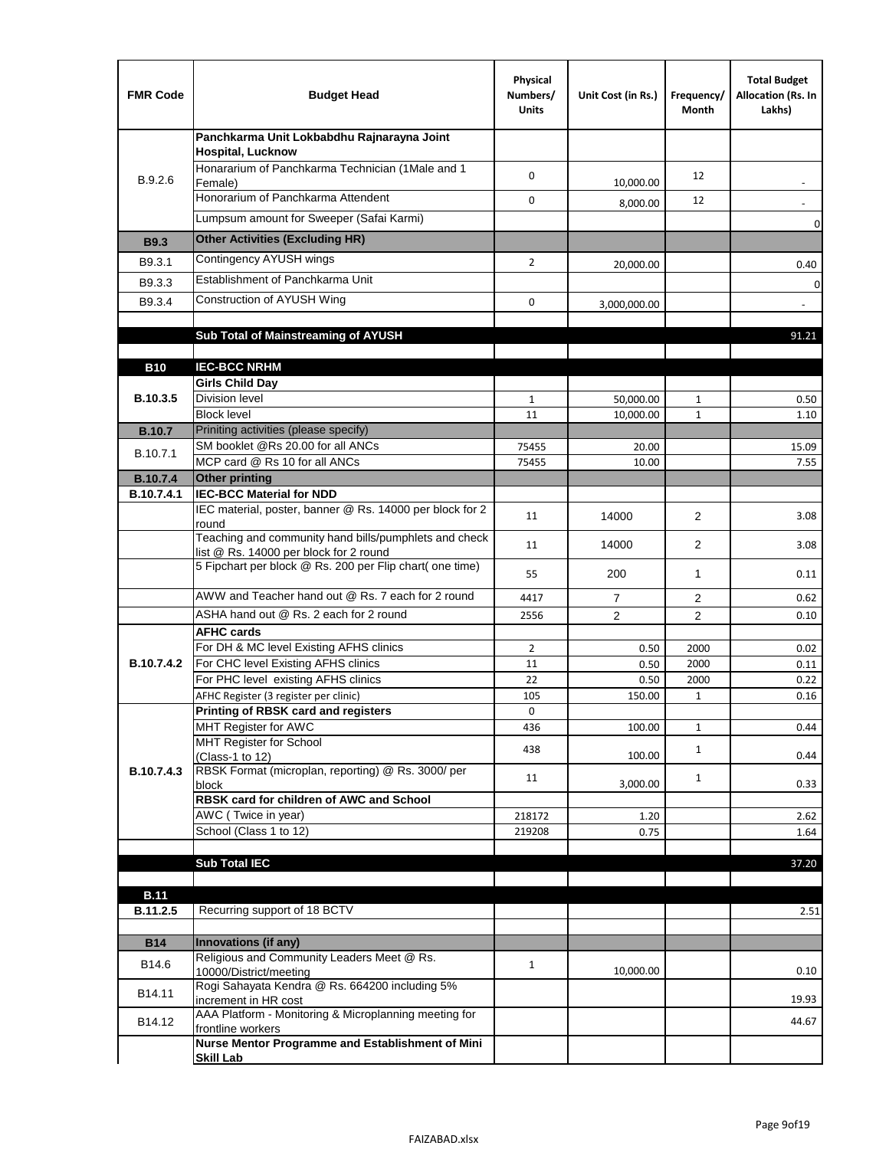| <b>FMR Code</b> | <b>Budget Head</b>                                                                              | Physical<br>Numbers/<br><b>Units</b> | Unit Cost (in Rs.) | Frequency/<br>Month | <b>Total Budget</b><br>Allocation (Rs. In<br>Lakhs) |
|-----------------|-------------------------------------------------------------------------------------------------|--------------------------------------|--------------------|---------------------|-----------------------------------------------------|
|                 | Panchkarma Unit Lokbabdhu Rajnarayna Joint<br><b>Hospital, Lucknow</b>                          |                                      |                    |                     |                                                     |
| B.9.2.6         | Honararium of Panchkarma Technician (1Male and 1<br>Female)                                     | 0                                    | 10,000.00          | 12                  |                                                     |
|                 | Honorarium of Panchkarma Attendent                                                              | 0                                    | 8,000.00           | 12                  |                                                     |
|                 | Lumpsum amount for Sweeper (Safai Karmi)                                                        |                                      |                    |                     | 0                                                   |
| <b>B9.3</b>     | <b>Other Activities (Excluding HR)</b>                                                          |                                      |                    |                     |                                                     |
| B9.3.1          | Contingency AYUSH wings                                                                         | $\overline{2}$                       | 20,000.00          |                     | 0.40                                                |
| B9.3.3          | Establishment of Panchkarma Unit                                                                |                                      |                    |                     | $\mathbf 0$                                         |
| B9.3.4          | Construction of AYUSH Wing                                                                      | 0                                    | 3,000,000.00       |                     |                                                     |
|                 |                                                                                                 |                                      |                    |                     |                                                     |
|                 | Sub Total of Mainstreaming of AYUSH                                                             |                                      |                    |                     | 91.21                                               |
|                 |                                                                                                 |                                      |                    |                     |                                                     |
| <b>B10</b>      | <b>IEC-BCC NRHM</b>                                                                             |                                      |                    |                     |                                                     |
| B.10.3.5        | <b>Girls Child Day</b><br><b>Division level</b>                                                 | $\mathbf{1}$                         | 50,000.00          | 1                   | 0.50                                                |
|                 | <b>Block level</b>                                                                              | 11                                   | 10,000.00          | $\mathbf{1}$        | 1.10                                                |
| <b>B.10.7</b>   | Priniting activities (please specify)                                                           |                                      |                    |                     |                                                     |
| B.10.7.1        | SM booklet @Rs 20.00 for all ANCs                                                               | 75455                                | 20.00              |                     | 15.09                                               |
| <b>B.10.7.4</b> | MCP card @ Rs 10 for all ANCs<br><b>Other printing</b>                                          | 75455                                | 10.00              |                     | 7.55                                                |
| B.10.7.4.1      | <b>IEC-BCC Material for NDD</b>                                                                 |                                      |                    |                     |                                                     |
|                 | IEC material, poster, banner @ Rs. 14000 per block for 2<br>round                               | 11                                   | 14000              | $\overline{2}$      | 3.08                                                |
|                 | Teaching and community hand bills/pumphlets and check<br>list @ Rs. 14000 per block for 2 round | 11                                   | 14000              | $\overline{2}$      | 3.08                                                |
|                 | 5 Fipchart per block @ Rs. 200 per Flip chart( one time)                                        | 55                                   | 200                | 1                   | 0.11                                                |
|                 | AWW and Teacher hand out @ Rs. 7 each for 2 round                                               | 4417                                 | $\overline{7}$     | $\overline{2}$      | 0.62                                                |
|                 | ASHA hand out @ Rs. 2 each for 2 round                                                          | 2556                                 | $\overline{2}$     | 2                   | 0.10                                                |
|                 | <b>AFHC cards</b>                                                                               |                                      |                    |                     |                                                     |
| B.10.7.4.2      | For DH & MC level Existing AFHS clinics<br>For CHC level Existing AFHS clinics                  | $\overline{2}$<br>11                 | 0.50<br>0.50       | 2000<br>2000        | 0.02<br>0.11                                        |
|                 | For PHC level existing AFHS clinics                                                             | 22                                   | 0.50               | 2000                | 0.22                                                |
|                 | AFHC Register (3 register per clinic)                                                           | 105                                  | 150.00             | $\mathbf{1}$        | 0.16                                                |
|                 | Printing of RBSK card and registers                                                             | 0                                    |                    |                     |                                                     |
|                 | MHT Register for AWC                                                                            | 436                                  | 100.00             | $\mathbf{1}$        | 0.44                                                |
|                 | MHT Register for School<br>(Class-1 to 12)                                                      | 438                                  | 100.00             | $\mathbf{1}$        | 0.44                                                |
| B.10.7.4.3      | RBSK Format (microplan, reporting) @ Rs. 3000/ per<br>block                                     | 11                                   | 3,000.00           | $\mathbf{1}$        | 0.33                                                |
|                 | RBSK card for children of AWC and School                                                        |                                      |                    |                     |                                                     |
|                 | AWC (Twice in year)                                                                             | 218172                               | 1.20               |                     | 2.62                                                |
|                 | School (Class 1 to 12)                                                                          | 219208                               | 0.75               |                     | 1.64                                                |
|                 | <b>Sub Total IEC</b>                                                                            |                                      |                    |                     |                                                     |
|                 |                                                                                                 |                                      |                    |                     | 37.20                                               |
| <b>B.11</b>     |                                                                                                 |                                      |                    |                     |                                                     |
| B.11.2.5        | Recurring support of 18 BCTV                                                                    |                                      |                    |                     | 2.51                                                |
|                 |                                                                                                 |                                      |                    |                     |                                                     |
| <b>B14</b>      | Innovations (if any)<br>Religious and Community Leaders Meet @ Rs.                              |                                      |                    |                     |                                                     |
| B14.6           | 10000/District/meeting                                                                          | $\mathbf{1}$                         | 10,000.00          |                     | 0.10                                                |
| B14.11          | Rogi Sahayata Kendra @ Rs. 664200 including 5%<br>increment in HR cost                          |                                      |                    |                     | 19.93                                               |
| B14.12          | AAA Platform - Monitoring & Microplanning meeting for<br>frontline workers                      |                                      |                    |                     | 44.67                                               |
|                 | Nurse Mentor Programme and Establishment of Mini                                                |                                      |                    |                     |                                                     |
|                 | <b>Skill Lab</b>                                                                                |                                      |                    |                     |                                                     |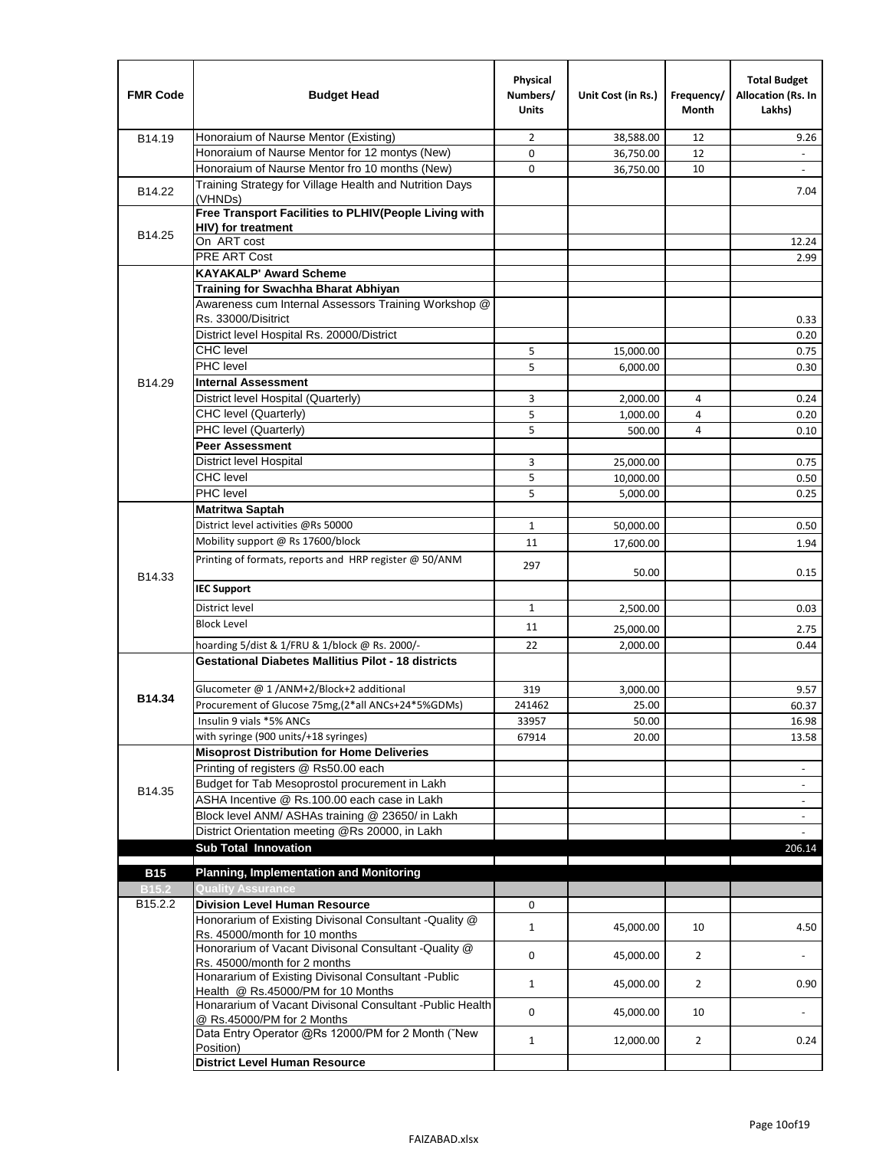| <b>FMR Code</b>   | <b>Budget Head</b>                                                                              | Physical<br>Numbers/<br><b>Units</b> | Unit Cost (in Rs.) | Frequency/<br>Month | <b>Total Budget</b><br>Allocation (Rs. In<br>Lakhs) |
|-------------------|-------------------------------------------------------------------------------------------------|--------------------------------------|--------------------|---------------------|-----------------------------------------------------|
| B14.19            | Honoraium of Naurse Mentor (Existing)                                                           | 2                                    | 38,588.00          | 12                  | 9.26                                                |
|                   | Honoraium of Naurse Mentor for 12 montys (New)                                                  | 0                                    | 36,750.00          | 12                  |                                                     |
|                   | Honoraium of Naurse Mentor fro 10 months (New)                                                  | 0                                    | 36,750.00          | 10                  | $\blacksquare$                                      |
| B14.22            | Training Strategy for Village Health and Nutrition Days<br>(VHNDs)                              |                                      |                    |                     | 7.04                                                |
|                   | Free Transport Facilities to PLHIV(People Living with                                           |                                      |                    |                     |                                                     |
| B14.25            | <b>HIV)</b> for treatment                                                                       |                                      |                    |                     |                                                     |
|                   | On ART cost                                                                                     |                                      |                    |                     | 12.24                                               |
|                   | PRE ART Cost                                                                                    |                                      |                    |                     | 2.99                                                |
|                   | <b>KAYAKALP' Award Scheme</b>                                                                   |                                      |                    |                     |                                                     |
|                   | Training for Swachha Bharat Abhiyan                                                             |                                      |                    |                     |                                                     |
|                   | Awareness cum Internal Assessors Training Workshop @<br>Rs. 33000/Disitrict                     |                                      |                    |                     |                                                     |
|                   | District level Hospital Rs. 20000/District                                                      |                                      |                    |                     | 0.33<br>0.20                                        |
|                   | <b>CHC</b> level                                                                                | 5                                    | 15,000.00          |                     | 0.75                                                |
|                   | <b>PHC</b> level                                                                                | 5                                    | 6,000.00           |                     | 0.30                                                |
| B14.29            | <b>Internal Assessment</b>                                                                      |                                      |                    |                     |                                                     |
|                   | District level Hospital (Quarterly)                                                             | 3                                    | 2,000.00           | 4                   | 0.24                                                |
|                   | CHC level (Quarterly)                                                                           | 5                                    | 1,000.00           | 4                   | 0.20                                                |
|                   | PHC level (Quarterly)                                                                           | 5                                    | 500.00             | 4                   | 0.10                                                |
|                   | <b>Peer Assessment</b>                                                                          |                                      |                    |                     |                                                     |
|                   | <b>District level Hospital</b>                                                                  | 3                                    | 25.000.00          |                     | 0.75                                                |
|                   | <b>CHC</b> level                                                                                | 5                                    | 10,000.00          |                     | 0.50                                                |
|                   | PHC level                                                                                       | 5                                    | 5,000.00           |                     | 0.25                                                |
|                   | Matritwa Saptah                                                                                 |                                      |                    |                     |                                                     |
|                   | District level activities @Rs 50000                                                             | $\mathbf{1}$                         | 50,000.00          |                     | 0.50                                                |
|                   | Mobility support @ Rs 17600/block                                                               | 11                                   |                    |                     |                                                     |
|                   | Printing of formats, reports and HRP register @ 50/ANM                                          |                                      | 17,600.00          |                     | 1.94                                                |
| B14.33            |                                                                                                 | 297                                  | 50.00              |                     | 0.15                                                |
|                   | <b>IEC Support</b>                                                                              |                                      |                    |                     |                                                     |
|                   | District level                                                                                  | $\mathbf{1}$                         | 2,500.00           |                     | 0.03                                                |
|                   | <b>Block Level</b>                                                                              | 11                                   | 25,000.00          |                     | 2.75                                                |
|                   | hoarding 5/dist & 1/FRU & 1/block @ Rs. 2000/-                                                  | 22                                   | 2,000.00           |                     | 0.44                                                |
|                   | <b>Gestational Diabetes Mallitius Pilot - 18 districts</b>                                      |                                      |                    |                     |                                                     |
|                   | Glucometer @ 1 /ANM+2/Block+2 additional                                                        | 319                                  | 3.000.00           |                     | 9.57                                                |
| B14.34            | Procurement of Glucose 75mg, (2*all ANCs+24*5%GDMs)                                             | 241462                               | 25.00              |                     | 60.37                                               |
|                   | Insulin 9 vials *5% ANCs                                                                        | 33957                                | 50.00              |                     | 16.98                                               |
|                   | with syringe (900 units/+18 syringes)                                                           | 67914                                | 20.00              |                     | 13.58                                               |
|                   | <b>Misoprost Distribution for Home Deliveries</b>                                               |                                      |                    |                     |                                                     |
|                   | Printing of registers @ Rs50.00 each                                                            |                                      |                    |                     | $\overline{\phantom{a}}$                            |
| B14.35            | Budget for Tab Mesoprostol procurement in Lakh                                                  |                                      |                    |                     |                                                     |
|                   | ASHA Incentive @ Rs.100.00 each case in Lakh                                                    |                                      |                    |                     | $\overline{\phantom{a}}$                            |
|                   | Block level ANM/ ASHAs training @ 23650/ in Lakh                                                |                                      |                    |                     | $\overline{\phantom{a}}$                            |
|                   | District Orientation meeting @Rs 20000, in Lakh                                                 |                                      |                    |                     |                                                     |
|                   | <b>Sub Total Innovation</b>                                                                     |                                      |                    |                     | 206.14                                              |
| <b>B15</b>        | <b>Planning, Implementation and Monitoring</b>                                                  |                                      |                    |                     |                                                     |
| B <sub>15.2</sub> | <b>Quality Assurance</b>                                                                        |                                      |                    |                     |                                                     |
| B15.2.2           | <b>Division Level Human Resource</b>                                                            | 0                                    |                    |                     |                                                     |
|                   | Honorarium of Existing Divisonal Consultant -Quality @                                          |                                      |                    |                     |                                                     |
|                   | Rs. 45000/month for 10 months                                                                   | $\mathbf{1}$                         | 45,000.00          | 10                  | 4.50                                                |
|                   | Honorarium of Vacant Divisonal Consultant -Quality @                                            | 0                                    | 45,000.00          | $\overline{2}$      |                                                     |
|                   | Rs. 45000/month for 2 months                                                                    |                                      |                    |                     |                                                     |
|                   | Honararium of Existing Divisonal Consultant - Public                                            | $\mathbf{1}$                         | 45,000.00          | $\overline{2}$      | 0.90                                                |
|                   | Health @ Rs.45000/PM for 10 Months<br>Honararium of Vacant Divisonal Consultant - Public Health |                                      |                    |                     |                                                     |
|                   | @ Rs.45000/PM for 2 Months                                                                      | 0                                    | 45,000.00          | 10                  | $\blacksquare$                                      |
|                   | Data Entry Operator @Rs 12000/PM for 2 Month ("New                                              |                                      |                    |                     |                                                     |
|                   | Position)                                                                                       | $\mathbf{1}$                         | 12,000.00          | $\overline{2}$      | 0.24                                                |
|                   | <b>District Level Human Resource</b>                                                            |                                      |                    |                     |                                                     |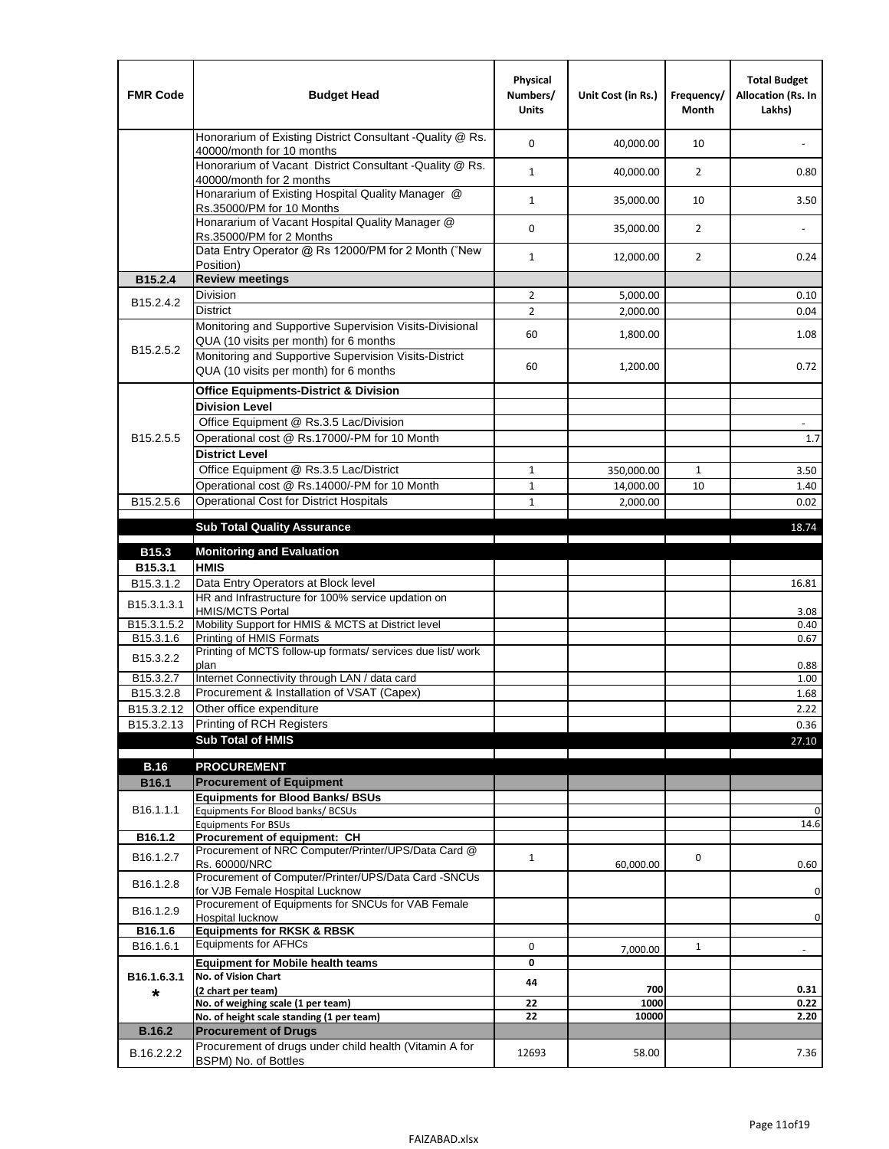| <b>FMR Code</b>         | <b>Budget Head</b>                                                                                | Physical<br>Numbers/<br><b>Units</b> | Unit Cost (in Rs.) | Frequency/<br><b>Month</b> | <b>Total Budget</b><br>Allocation (Rs. In<br>Lakhs) |
|-------------------------|---------------------------------------------------------------------------------------------------|--------------------------------------|--------------------|----------------------------|-----------------------------------------------------|
|                         | Honorarium of Existing District Consultant -Quality @ Rs.<br>40000/month for 10 months            | $\mathbf 0$                          | 40,000.00          | 10                         |                                                     |
|                         | Honorarium of Vacant District Consultant -Quality @ Rs.<br>40000/month for 2 months               | $\mathbf{1}$                         | 40,000.00          | $\overline{2}$             | 0.80                                                |
|                         | Honararium of Existing Hospital Quality Manager @<br>Rs.35000/PM for 10 Months                    | $\mathbf{1}$                         | 35,000.00          | 10                         | 3.50                                                |
|                         | Honararium of Vacant Hospital Quality Manager @<br>Rs.35000/PM for 2 Months                       | $\mathbf 0$                          | 35,000.00          | $\overline{2}$             |                                                     |
|                         | Data Entry Operator @ Rs 12000/PM for 2 Month ("New<br>Position)                                  | $\mathbf{1}$                         | 12,000.00          | $\overline{2}$             | 0.24                                                |
| B15.2.4                 | <b>Review meetings</b>                                                                            |                                      |                    |                            |                                                     |
| B <sub>15.2</sub> .4.2  | Division                                                                                          | $\overline{2}$                       | 5,000.00           |                            | 0.10                                                |
|                         | <b>District</b>                                                                                   | $\overline{2}$                       | 2,000.00           |                            | 0.04                                                |
| B15.2.5.2               | Monitoring and Supportive Supervision Visits-Divisional<br>QUA (10 visits per month) for 6 months | 60                                   | 1,800.00           |                            | 1.08                                                |
|                         | Monitoring and Supportive Supervision Visits-District<br>QUA (10 visits per month) for 6 months   | 60                                   | 1,200.00           |                            | 0.72                                                |
|                         | <b>Office Equipments-District &amp; Division</b>                                                  |                                      |                    |                            |                                                     |
|                         | <b>Division Level</b>                                                                             |                                      |                    |                            |                                                     |
|                         | Office Equipment @ Rs.3.5 Lac/Division                                                            |                                      |                    |                            | $\overline{\phantom{a}}$                            |
| B15.2.5.5               | Operational cost @ Rs.17000/-PM for 10 Month                                                      |                                      |                    |                            | 1.7                                                 |
|                         | <b>District Level</b>                                                                             |                                      |                    |                            |                                                     |
|                         | Office Equipment @ Rs.3.5 Lac/District                                                            | $\mathbf{1}$                         | 350,000.00         | 1                          | 3.50                                                |
|                         | Operational cost @ Rs.14000/-PM for 10 Month                                                      | $1\,$                                | 14,000.00          | 10                         | 1.40                                                |
| B15.2.5.6               | Operational Cost for District Hospitals                                                           | $\mathbf{1}$                         | 2,000.00           |                            | 0.02                                                |
|                         | <b>Sub Total Quality Assurance</b>                                                                |                                      |                    |                            | 18.74                                               |
| B15.3                   | <b>Monitoring and Evaluation</b>                                                                  |                                      |                    |                            |                                                     |
| B15.3.1                 | <b>HMIS</b>                                                                                       |                                      |                    |                            |                                                     |
| B15.3.1.2               | Data Entry Operators at Block level                                                               |                                      |                    |                            | 16.81                                               |
| B15.3.1.3.1             | HR and Infrastructure for 100% service updation on<br><b>HMIS/MCTS Portal</b>                     |                                      |                    |                            | 3.08                                                |
| B <sub>15.3.1.5.2</sub> | Mobility Support for HMIS & MCTS at District level                                                |                                      |                    |                            | 0.40                                                |
| B15.3.1.6               | Printing of HMIS Formats<br>Printing of MCTS follow-up formats/ services due list/ work           |                                      |                    |                            | 0.67                                                |
| B15.3.2.2               | plan                                                                                              |                                      |                    |                            | 0.88                                                |
| B15.3.2.7               | Internet Connectivity through LAN / data card                                                     |                                      |                    |                            | 1.00                                                |
| B15.3.2.8               | Procurement & Installation of VSAT (Capex)                                                        |                                      |                    |                            | 1.68                                                |
| B15.3.2.12              | Other office expenditure                                                                          |                                      |                    |                            | 2.22                                                |
| B15.3.2.13              | Printing of RCH Registers                                                                         |                                      |                    |                            | 0.36                                                |
|                         | <b>Sub Total of HMIS</b>                                                                          |                                      |                    |                            | 27.10                                               |
| <b>B.16</b>             | <b>PROCUREMENT</b>                                                                                |                                      |                    |                            |                                                     |
| B16.1                   | <b>Procurement of Equipment</b>                                                                   |                                      |                    |                            |                                                     |
|                         | <b>Equipments for Blood Banks/ BSUs</b>                                                           |                                      |                    |                            |                                                     |
| B16.1.1.1               | Equipments For Blood banks/ BCSUs                                                                 |                                      |                    |                            | 0                                                   |
| B16.1.2                 | <b>Equipments For BSUs</b><br>Procurement of equipment: CH                                        |                                      |                    |                            | 14.6                                                |
|                         | Procurement of NRC Computer/Printer/UPS/Data Card @                                               |                                      |                    |                            |                                                     |
| B16.1.2.7               | Rs. 60000/NRC                                                                                     | $\mathbf{1}$                         | 60,000.00          | 0                          | 0.60                                                |
| B16.1.2.8               | Procurement of Computer/Printer/UPS/Data Card -SNCUs                                              |                                      |                    |                            |                                                     |
|                         | for VJB Female Hospital Lucknow<br>Procurement of Equipments for SNCUs for VAB Female             |                                      |                    |                            | 0                                                   |
| B16.1.2.9               | Hospital lucknow                                                                                  |                                      |                    |                            | 0                                                   |
| B16.1.6                 | <b>Equipments for RKSK &amp; RBSK</b>                                                             |                                      |                    |                            |                                                     |
| B16.1.6.1               | <b>Equipments for AFHCs</b>                                                                       | 0                                    | 7,000.00           | $\mathbf{1}$               | ÷,                                                  |
|                         | <b>Equipment for Mobile health teams</b>                                                          | 0                                    |                    |                            |                                                     |
| B16.1.6.3.1             | No. of Vision Chart                                                                               | 44                                   | 700                |                            | 0.31                                                |
| *                       | (2 chart per team)<br>No. of weighing scale (1 per team)                                          | 22                                   | 1000               |                            | 0.22                                                |
|                         | No. of height scale standing (1 per team)                                                         | 22                                   | 10000              |                            | 2.20                                                |
| <b>B.16.2</b>           | <b>Procurement of Drugs</b>                                                                       |                                      |                    |                            |                                                     |
| B.16.2.2.2              | Procurement of drugs under child health (Vitamin A for                                            | 12693                                | 58.00              |                            | 7.36                                                |
|                         | BSPM) No. of Bottles                                                                              |                                      |                    |                            |                                                     |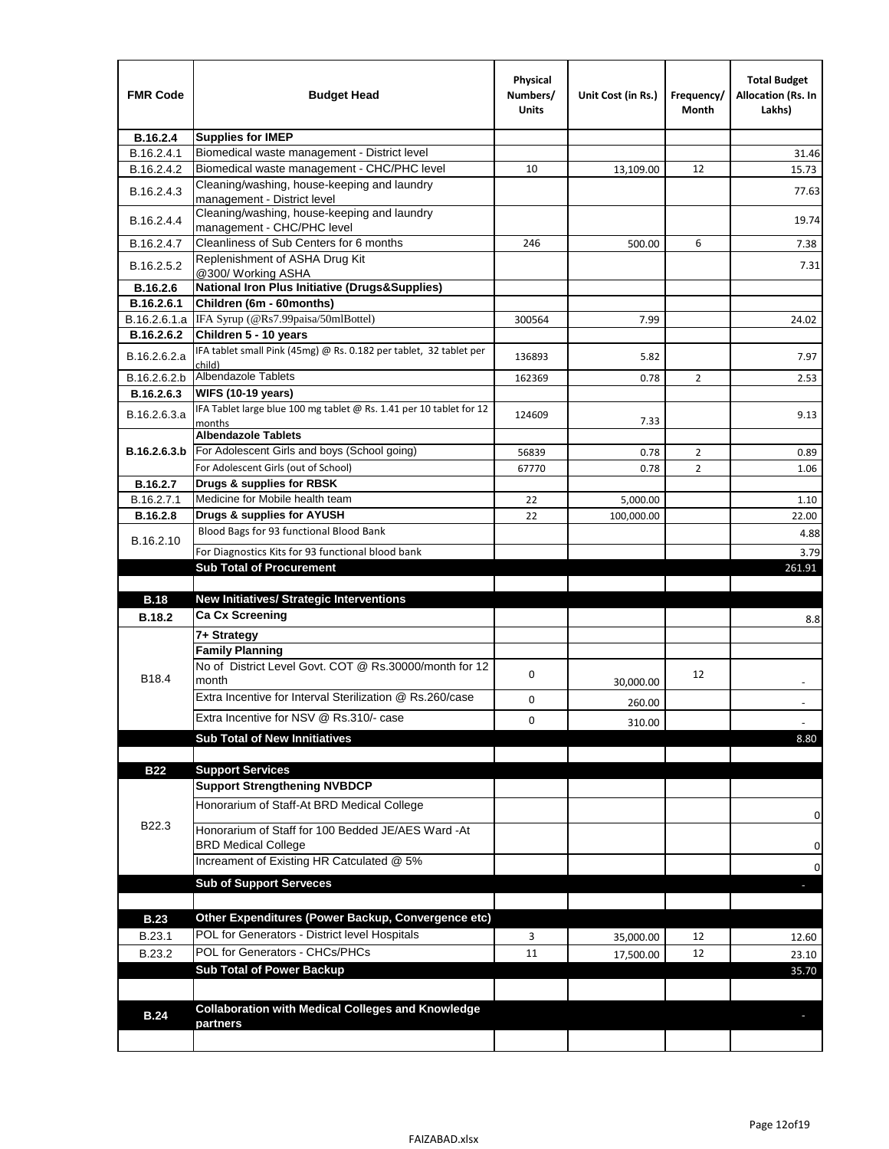| <b>FMR Code</b> | <b>Budget Head</b>                                                            | Physical<br>Numbers/<br>Units | Unit Cost (in Rs.) | Frequency/<br>Month | <b>Total Budget</b><br><b>Allocation (Rs. In</b><br>Lakhs) |
|-----------------|-------------------------------------------------------------------------------|-------------------------------|--------------------|---------------------|------------------------------------------------------------|
| B.16.2.4        | <b>Supplies for IMEP</b>                                                      |                               |                    |                     |                                                            |
| B.16.2.4.1      | Biomedical waste management - District level                                  |                               |                    |                     | 31.46                                                      |
| B.16.2.4.2      | Biomedical waste management - CHC/PHC level                                   | 10                            | 13,109.00          | 12                  | 15.73                                                      |
| B.16.2.4.3      | Cleaning/washing, house-keeping and laundry<br>management - District level    |                               |                    |                     | 77.63                                                      |
| B.16.2.4.4      | Cleaning/washing, house-keeping and laundry<br>management - CHC/PHC level     |                               |                    |                     | 19.74                                                      |
| B.16.2.4.7      | Cleanliness of Sub Centers for 6 months                                       | 246                           | 500.00             | 6                   | 7.38                                                       |
| B.16.2.5.2      | Replenishment of ASHA Drug Kit<br>@300/ Working ASHA                          |                               |                    |                     | 7.31                                                       |
| B.16.2.6        | <b>National Iron Plus Initiative (Drugs&amp;Supplies)</b>                     |                               |                    |                     |                                                            |
| B.16.2.6.1      | Children (6m - 60months)                                                      |                               |                    |                     |                                                            |
| B.16.2.6.1.a    | IFA Syrup (@Rs7.99paisa/50mlBottel)                                           | 300564                        | 7.99               |                     | 24.02                                                      |
| B.16.2.6.2      | Children 5 - 10 years                                                         |                               |                    |                     |                                                            |
| B.16.2.6.2.a    | IFA tablet small Pink (45mg) @ Rs. 0.182 per tablet, 32 tablet per<br>child)  | 136893                        | 5.82               |                     | 7.97                                                       |
| B.16.2.6.2.b    | <b>Albendazole Tablets</b>                                                    | 162369                        | 0.78               | 2                   | 2.53                                                       |
| B.16.2.6.3      | <b>WIFS (10-19 years)</b>                                                     |                               |                    |                     |                                                            |
| B.16.2.6.3.a    | IFA Tablet large blue 100 mg tablet @ Rs. 1.41 per 10 tablet for 12<br>months | 124609                        | 7.33               |                     | 9.13                                                       |
|                 | <b>Albendazole Tablets</b>                                                    |                               |                    |                     |                                                            |
| B.16.2.6.3.b    | For Adolescent Girls and boys (School going)                                  | 56839                         | 0.78               | $\overline{2}$      | 0.89                                                       |
|                 | For Adolescent Girls (out of School)                                          | 67770                         | 0.78               | $\overline{2}$      | 1.06                                                       |
| B.16.2.7        | Drugs & supplies for RBSK                                                     |                               |                    |                     |                                                            |
| B.16.2.7.1      | Medicine for Mobile health team                                               | 22                            | 5,000.00           |                     | 1.10                                                       |
| <b>B.16.2.8</b> | Drugs & supplies for AYUSH                                                    | 22                            | 100,000.00         |                     | 22.00                                                      |
| B.16.2.10       | Blood Bags for 93 functional Blood Bank                                       |                               |                    |                     | 4.88                                                       |
|                 | For Diagnostics Kits for 93 functional blood bank                             |                               |                    |                     | 3.79                                                       |
|                 | <b>Sub Total of Procurement</b>                                               |                               |                    |                     | 261.91                                                     |
| <b>B.18</b>     | <b>New Initiatives/ Strategic Interventions</b>                               |                               |                    |                     |                                                            |
|                 | <b>Ca Cx Screening</b>                                                        |                               |                    |                     |                                                            |
| <b>B.18.2</b>   |                                                                               |                               |                    |                     | 8.8                                                        |
|                 | 7+ Strategy<br><b>Family Planning</b>                                         |                               |                    |                     |                                                            |
| B18.4           | No of District Level Govt. COT @ Rs.30000/month for 12<br>month               | 0                             |                    | 12                  |                                                            |
|                 | Extra Incentive for Interval Sterilization @ Rs.260/case                      |                               | 30,000.00          |                     |                                                            |
|                 |                                                                               | 0                             | 260.00             |                     |                                                            |
|                 | Extra Incentive for NSV @ Rs.310/- case                                       | 0                             | 310.00             |                     |                                                            |
|                 | <b>Sub Total of New Innitiatives</b>                                          |                               |                    |                     | 8.80                                                       |
|                 |                                                                               |                               |                    |                     |                                                            |
| <b>B22</b>      | <b>Support Services</b><br><b>Support Strengthening NVBDCP</b>                |                               |                    |                     |                                                            |
|                 | Honorarium of Staff-At BRD Medical College                                    |                               |                    |                     |                                                            |
| B22.3           | Honorarium of Staff for 100 Bedded JE/AES Ward -At                            |                               |                    |                     | 0                                                          |
|                 | <b>BRD Medical College</b><br>Increament of Existing HR Catculated @ 5%       |                               |                    |                     | 0                                                          |
|                 |                                                                               |                               |                    |                     | 0                                                          |
|                 | <b>Sub of Support Serveces</b>                                                |                               |                    |                     |                                                            |
|                 |                                                                               |                               |                    |                     |                                                            |
| <b>B.23</b>     | Other Expenditures (Power Backup, Convergence etc)                            |                               |                    |                     |                                                            |
| B.23.1          | POL for Generators - District level Hospitals                                 | 3                             | 35,000.00          | 12                  | 12.60                                                      |
| B.23.2          | POL for Generators - CHCs/PHCs                                                | 11                            | 17,500.00          | 12                  | 23.10                                                      |
|                 | <b>Sub Total of Power Backup</b>                                              |                               |                    |                     | 35.70                                                      |
|                 |                                                                               |                               |                    |                     |                                                            |
| <b>B.24</b>     | <b>Collaboration with Medical Colleges and Knowledge</b><br>partners          |                               |                    |                     |                                                            |
|                 |                                                                               |                               |                    |                     |                                                            |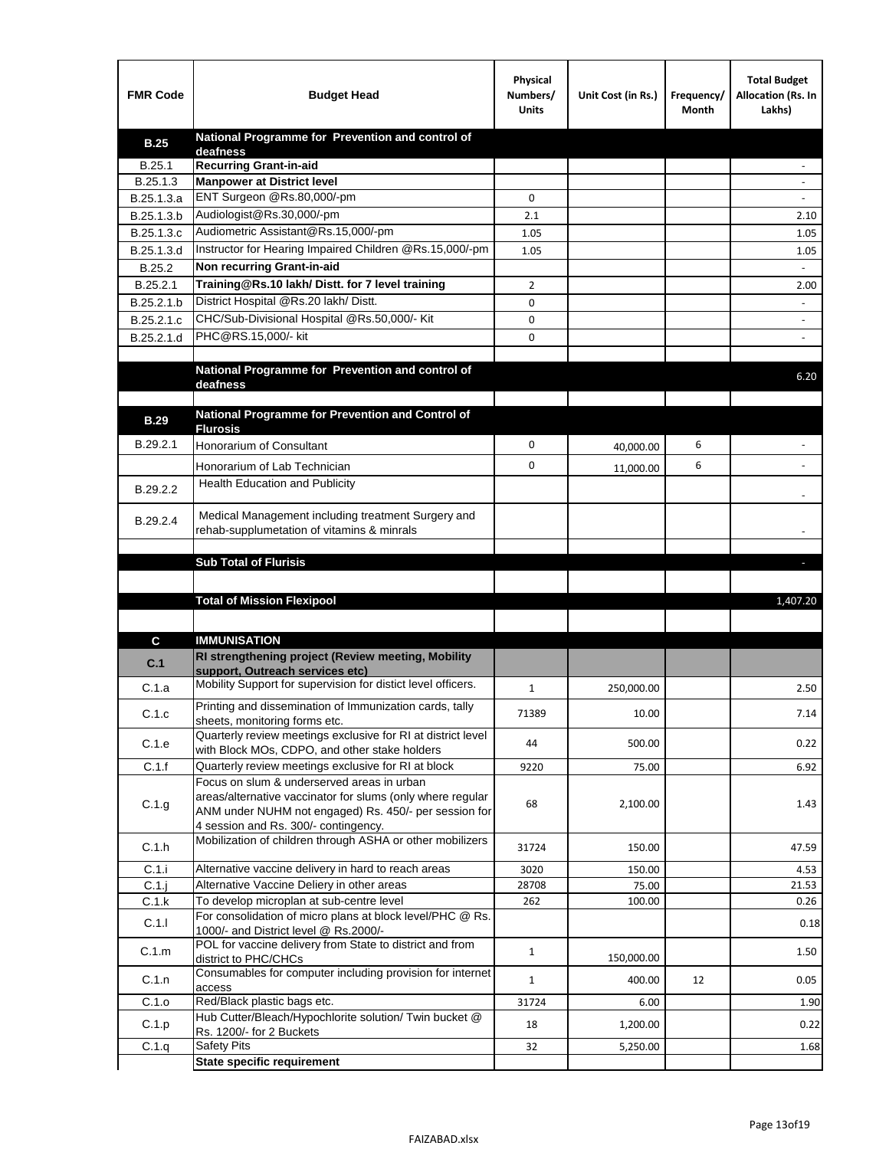| <b>FMR Code</b> | <b>Budget Head</b>                                                                                                                                          | Physical<br>Numbers/<br><b>Units</b> | Unit Cost (in Rs.) | Frequency/<br>Month | <b>Total Budget</b><br>Allocation (Rs. In<br>Lakhs) |
|-----------------|-------------------------------------------------------------------------------------------------------------------------------------------------------------|--------------------------------------|--------------------|---------------------|-----------------------------------------------------|
| <b>B.25</b>     | National Programme for Prevention and control of                                                                                                            |                                      |                    |                     |                                                     |
| B.25.1          | deafness<br>Recurring Grant-in-aid                                                                                                                          |                                      |                    |                     |                                                     |
| B.25.1.3        | <b>Manpower at District level</b>                                                                                                                           |                                      |                    |                     |                                                     |
| B.25.1.3.a      | ENT Surgeon @Rs.80,000/-pm                                                                                                                                  | 0                                    |                    |                     |                                                     |
| B.25.1.3.b      | Audiologist@Rs.30,000/-pm                                                                                                                                   | 2.1                                  |                    |                     | 2.10                                                |
| B.25.1.3.c      | Audiometric Assistant@Rs.15,000/-pm                                                                                                                         | 1.05                                 |                    |                     | 1.05                                                |
| B.25.1.3.d      | Instructor for Hearing Impaired Children @Rs.15,000/-pm                                                                                                     | 1.05                                 |                    |                     | 1.05                                                |
| B.25.2          | Non recurring Grant-in-aid                                                                                                                                  |                                      |                    |                     |                                                     |
| B.25.2.1        | Training@Rs.10 lakh/Distt. for 7 level training                                                                                                             | 2                                    |                    |                     | 2.00                                                |
| B.25.2.1.b      | District Hospital @Rs.20 lakh/Distt.                                                                                                                        | 0                                    |                    |                     |                                                     |
| B.25.2.1.c      | CHC/Sub-Divisional Hospital @Rs.50,000/- Kit                                                                                                                | 0                                    |                    |                     |                                                     |
| B.25.2.1.d      | PHC@RS.15,000/- kit                                                                                                                                         | 0                                    |                    |                     |                                                     |
|                 |                                                                                                                                                             |                                      |                    |                     |                                                     |
|                 | National Programme for Prevention and control of<br>deafness                                                                                                |                                      |                    |                     | 6.20                                                |
|                 | National Programme for Prevention and Control of                                                                                                            |                                      |                    |                     |                                                     |
| <b>B.29</b>     | <b>Flurosis</b>                                                                                                                                             |                                      |                    |                     |                                                     |
| B.29.2.1        | Honorarium of Consultant                                                                                                                                    | 0                                    | 40,000.00          | 6                   |                                                     |
|                 | Honorarium of Lab Technician                                                                                                                                | 0                                    | 11,000.00          | 6                   | $\ddot{\phantom{1}}$                                |
|                 | <b>Health Education and Publicity</b>                                                                                                                       |                                      |                    |                     |                                                     |
| B.29.2.2        |                                                                                                                                                             |                                      |                    |                     |                                                     |
| B.29.2.4        | Medical Management including treatment Surgery and<br>rehab-supplumetation of vitamins & minrals                                                            |                                      |                    |                     |                                                     |
|                 |                                                                                                                                                             |                                      |                    |                     |                                                     |
|                 | <b>Sub Total of Flurisis</b>                                                                                                                                |                                      |                    |                     | ь                                                   |
|                 |                                                                                                                                                             |                                      |                    |                     |                                                     |
|                 | <b>Total of Mission Flexipool</b>                                                                                                                           |                                      |                    |                     | 1,407.20                                            |
| C               | <b>IMMUNISATION</b>                                                                                                                                         |                                      |                    |                     |                                                     |
| C.1             | RI strengthening project (Review meeting, Mobility                                                                                                          |                                      |                    |                     |                                                     |
|                 | support, Outreach services etc)                                                                                                                             |                                      |                    |                     |                                                     |
| C.1.a           | Mobility Support for supervision for distict level officers.                                                                                                | $\mathbf{1}$                         | 250,000.00         |                     | 2.50                                                |
| C.1.c           | Printing and dissemination of Immunization cards, tally<br>sheets, monitoring forms etc.                                                                    | 71389                                | 10.00              |                     | 7.14                                                |
| C.1.e           | Quarterly review meetings exclusive for RI at district level<br>with Block MOs, CDPO, and other stake holders                                               | 44                                   | 500.00             |                     | 0.22                                                |
| C.1.f           | Quarterly review meetings exclusive for RI at block                                                                                                         | 9220                                 | 75.00              |                     | 6.92                                                |
|                 | Focus on slum & underserved areas in urban                                                                                                                  |                                      |                    |                     |                                                     |
| C.1.g           | areas/alternative vaccinator for slums (only where regular<br>ANM under NUHM not engaged) Rs. 450/- per session for<br>4 session and Rs. 300/- contingency. | 68                                   | 2,100.00           |                     | 1.43                                                |
| C.1.h           | Mobilization of children through ASHA or other mobilizers                                                                                                   | 31724                                | 150.00             |                     | 47.59                                               |
| C.1.i           | Alternative vaccine delivery in hard to reach areas                                                                                                         | 3020                                 | 150.00             |                     | 4.53                                                |
| $C.1$ .j        | Alternative Vaccine Deliery in other areas                                                                                                                  | 28708                                | 75.00              |                     | 21.53                                               |
| C.1.k           | To develop microplan at sub-centre level                                                                                                                    | 262                                  | 100.00             |                     | 0.26                                                |
| C.1.1           | For consolidation of micro plans at block level/PHC @ Rs.<br>1000/- and District level @ Rs.2000/-                                                          |                                      |                    |                     | 0.18                                                |
| C.1.m           | POL for vaccine delivery from State to district and from<br>district to PHC/CHCs                                                                            | $\mathbf{1}$                         | 150,000.00         |                     | 1.50                                                |
| C.1.n           | Consumables for computer including provision for internet<br>access                                                                                         | $\mathbf{1}$                         | 400.00             | 12                  | 0.05                                                |
| C.1.o           | Red/Black plastic bags etc.                                                                                                                                 | 31724                                | 6.00               |                     | 1.90                                                |
| C.1.p           | Hub Cutter/Bleach/Hypochlorite solution/ Twin bucket @<br>Rs. 1200/- for 2 Buckets                                                                          | 18                                   | 1,200.00           |                     | 0.22                                                |
| C.1.q           | <b>Safety Pits</b>                                                                                                                                          | 32                                   | 5,250.00           |                     | 1.68                                                |
|                 | <b>State specific requirement</b>                                                                                                                           |                                      |                    |                     |                                                     |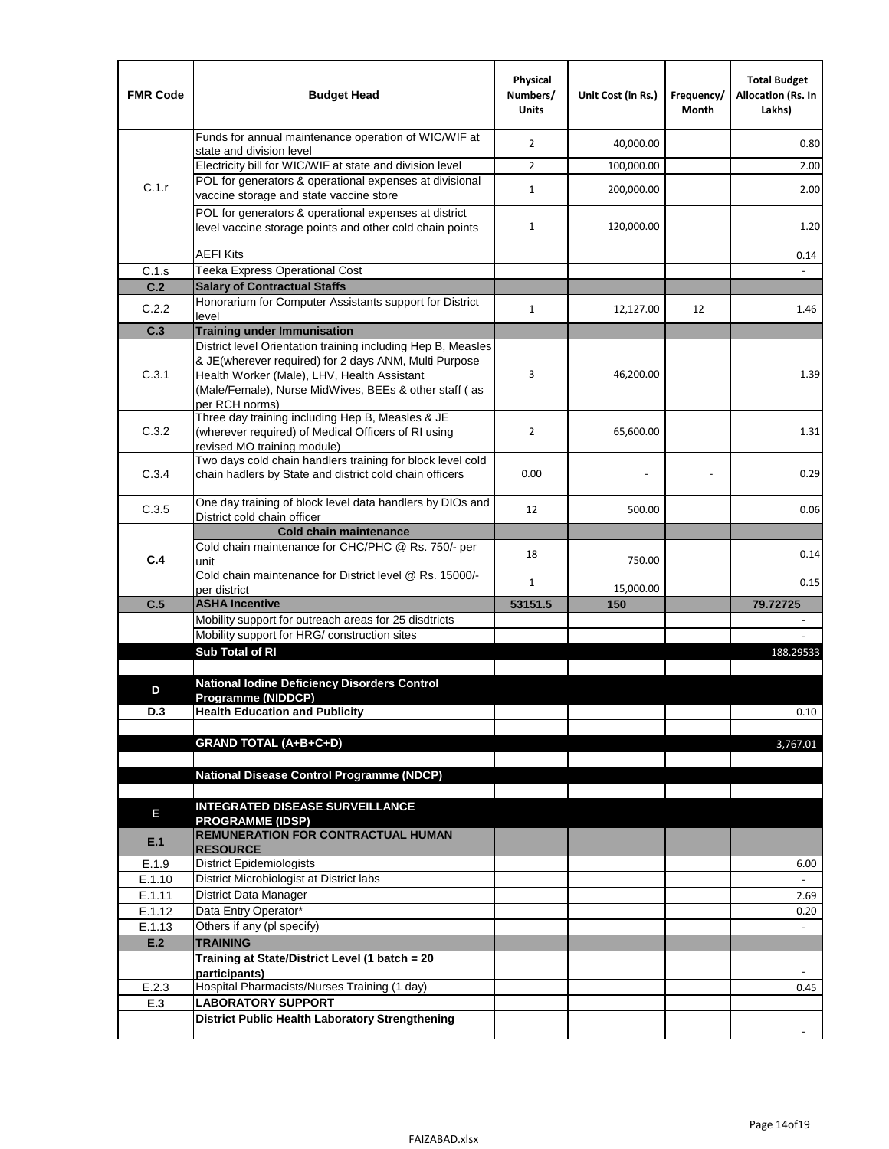| <b>FMR Code</b> | <b>Budget Head</b>                                                                                                                                                              | Physical<br>Numbers/<br><b>Units</b> | Unit Cost (in Rs.) | Frequency/<br>Month | <b>Total Budget</b><br>Allocation (Rs. In<br>Lakhs) |
|-----------------|---------------------------------------------------------------------------------------------------------------------------------------------------------------------------------|--------------------------------------|--------------------|---------------------|-----------------------------------------------------|
|                 | Funds for annual maintenance operation of WIC/WIF at                                                                                                                            | $\overline{2}$                       | 40,000.00          |                     | 0.80                                                |
|                 | state and division level<br>Electricity bill for WIC/WIF at state and division level                                                                                            | $\overline{2}$                       | 100,000.00         |                     | 2.00                                                |
| C.1.r           | POL for generators & operational expenses at divisional                                                                                                                         |                                      |                    |                     |                                                     |
|                 | vaccine storage and state vaccine store                                                                                                                                         | $\mathbf{1}$                         | 200,000.00         |                     | 2.00                                                |
|                 | POL for generators & operational expenses at district<br>level vaccine storage points and other cold chain points                                                               | $\mathbf{1}$                         | 120,000.00         |                     | 1.20                                                |
|                 | <b>AEFI Kits</b>                                                                                                                                                                |                                      |                    |                     | 0.14                                                |
| C.1.s           | Teeka Express Operational Cost                                                                                                                                                  |                                      |                    |                     |                                                     |
| C.2             | <b>Salary of Contractual Staffs</b>                                                                                                                                             |                                      |                    |                     |                                                     |
| C.2.2           | Honorarium for Computer Assistants support for District<br>level                                                                                                                | $\mathbf{1}$                         | 12,127.00          | 12                  | 1.46                                                |
| C.3             | <b>Training under Immunisation</b>                                                                                                                                              |                                      |                    |                     |                                                     |
|                 | District level Orientation training including Hep B, Measles                                                                                                                    |                                      |                    |                     |                                                     |
| C.3.1           | & JE(wherever required) for 2 days ANM, Multi Purpose<br>Health Worker (Male), LHV, Health Assistant<br>(Male/Female), Nurse MidWives, BEEs & other staff (as<br>per RCH norms) | 3                                    | 46,200.00          |                     | 1.39                                                |
| C.3.2           | Three day training including Hep B, Measles & JE<br>(wherever required) of Medical Officers of RI using<br>revised MO training module)                                          | $\overline{2}$                       | 65,600.00          |                     | 1.31                                                |
| C.3.4           | Two days cold chain handlers training for block level cold<br>chain hadlers by State and district cold chain officers                                                           | 0.00                                 |                    |                     | 0.29                                                |
| C.3.5           | One day training of block level data handlers by DIOs and<br>District cold chain officer                                                                                        | 12                                   | 500.00             |                     | 0.06                                                |
|                 | <b>Cold chain maintenance</b>                                                                                                                                                   |                                      |                    |                     |                                                     |
|                 | Cold chain maintenance for CHC/PHC @ Rs. 750/- per                                                                                                                              | 18                                   |                    |                     | 0.14                                                |
| C.4             | unit                                                                                                                                                                            |                                      | 750.00             |                     |                                                     |
|                 | Cold chain maintenance for District level @ Rs. 15000/-<br>per district                                                                                                         | $\mathbf{1}$                         | 15,000.00          |                     | 0.15                                                |
| C.5             | <b>ASHA Incentive</b>                                                                                                                                                           | 53151.5                              | 150                |                     | 79.72725                                            |
|                 | Mobility support for outreach areas for 25 disdtricts                                                                                                                           |                                      |                    |                     |                                                     |
|                 | Mobility support for HRG/ construction sites                                                                                                                                    |                                      |                    |                     |                                                     |
|                 | Sub Total of RI                                                                                                                                                                 |                                      |                    |                     | 188.29533                                           |
|                 | <b>National Iodine Deficiency Disorders Control</b>                                                                                                                             |                                      |                    |                     |                                                     |
| D               | Programme (NIDDCP)                                                                                                                                                              |                                      |                    |                     |                                                     |
| D.3             | <b>Health Education and Publicity</b>                                                                                                                                           |                                      |                    |                     | 0.10                                                |
|                 |                                                                                                                                                                                 |                                      |                    |                     |                                                     |
|                 | <b>GRAND TOTAL (A+B+C+D)</b>                                                                                                                                                    |                                      |                    |                     | 3,767.01                                            |
|                 | National Disease Control Programme (NDCP)                                                                                                                                       |                                      |                    |                     |                                                     |
|                 |                                                                                                                                                                                 |                                      |                    |                     |                                                     |
|                 | <b>INTEGRATED DISEASE SURVEILLANCE</b>                                                                                                                                          |                                      |                    |                     |                                                     |
| Е               | <b>PROGRAMME (IDSP)</b><br><b>REMUNERATION FOR CONTRACTUAL HUMAN</b>                                                                                                            |                                      |                    |                     |                                                     |
| E.1             | <b>RESOURCE</b>                                                                                                                                                                 |                                      |                    |                     |                                                     |
| E.1.9           | <b>District Epidemiologists</b>                                                                                                                                                 |                                      |                    |                     | 6.00                                                |
| E.1.10          | District Microbiologist at District labs                                                                                                                                        |                                      |                    |                     |                                                     |
| E.1.11          | District Data Manager                                                                                                                                                           |                                      |                    |                     | 2.69                                                |
| E.1.12          | Data Entry Operator*                                                                                                                                                            |                                      |                    |                     | 0.20                                                |
| E.1.13          | Others if any (pl specify)<br><b>TRAINING</b>                                                                                                                                   |                                      |                    |                     | $\omega$                                            |
| E.2             | Training at State/District Level (1 batch = 20                                                                                                                                  |                                      |                    |                     |                                                     |
|                 | participants)                                                                                                                                                                   |                                      |                    |                     |                                                     |
| E.2.3           | Hospital Pharmacists/Nurses Training (1 day)                                                                                                                                    |                                      |                    |                     | 0.45                                                |
| E.3             | <b>LABORATORY SUPPORT</b>                                                                                                                                                       |                                      |                    |                     |                                                     |
|                 | <b>District Public Health Laboratory Strengthening</b>                                                                                                                          |                                      |                    |                     |                                                     |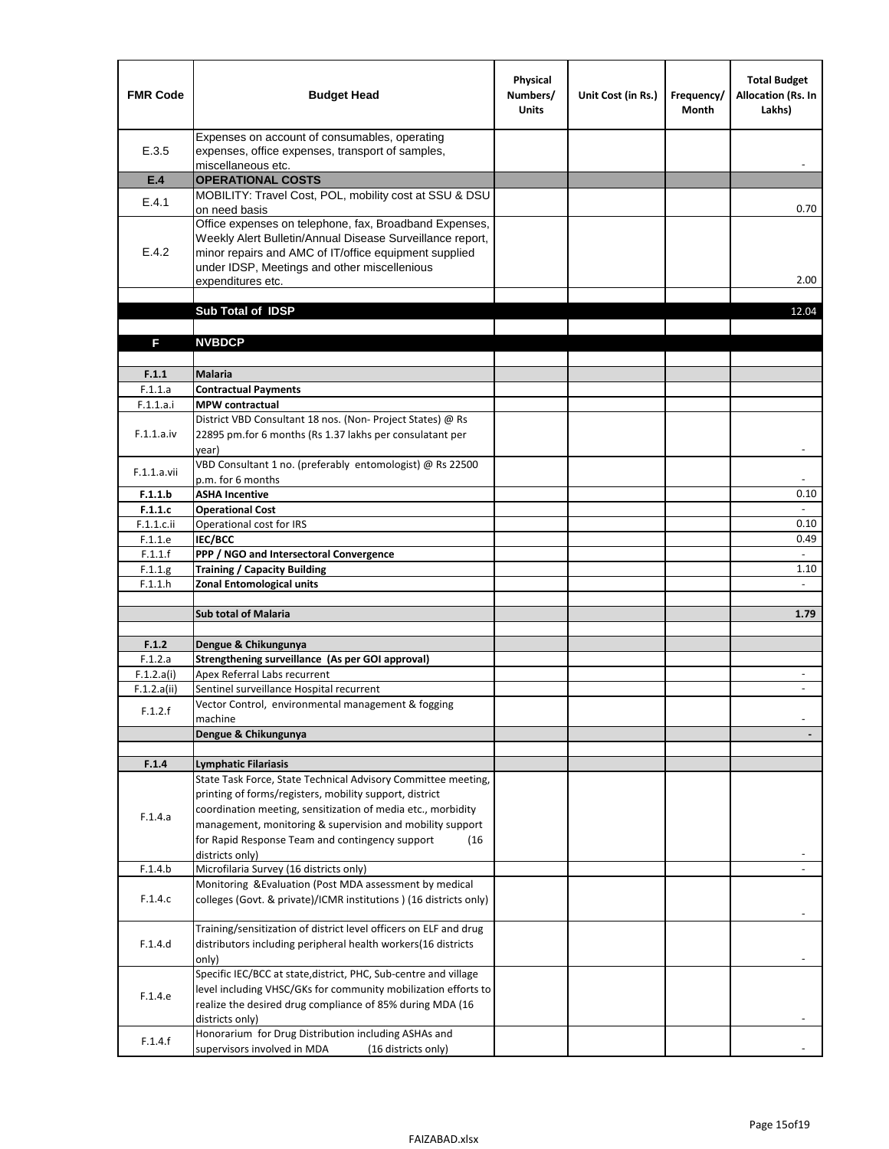| <b>FMR Code</b>       | <b>Budget Head</b>                                                                                                                                                                                                                                | Physical<br>Numbers/<br><b>Units</b> | Unit Cost (in Rs.) | Frequency/<br><b>Month</b> | <b>Total Budget</b><br><b>Allocation (Rs. In</b><br>Lakhs) |
|-----------------------|---------------------------------------------------------------------------------------------------------------------------------------------------------------------------------------------------------------------------------------------------|--------------------------------------|--------------------|----------------------------|------------------------------------------------------------|
| E.3.5                 | Expenses on account of consumables, operating<br>expenses, office expenses, transport of samples,<br>miscellaneous etc.                                                                                                                           |                                      |                    |                            |                                                            |
| E.4                   | <b>OPERATIONAL COSTS</b>                                                                                                                                                                                                                          |                                      |                    |                            |                                                            |
| E.4.1                 | MOBILITY: Travel Cost, POL, mobility cost at SSU & DSU                                                                                                                                                                                            |                                      |                    |                            |                                                            |
|                       | on need basis                                                                                                                                                                                                                                     |                                      |                    |                            | 0.70                                                       |
| E.4.2                 | Office expenses on telephone, fax, Broadband Expenses,<br>Weekly Alert Bulletin/Annual Disease Surveillance report,<br>minor repairs and AMC of IT/office equipment supplied<br>under IDSP, Meetings and other miscellenious<br>expenditures etc. |                                      |                    |                            | 2.00                                                       |
|                       | Sub Total of IDSP                                                                                                                                                                                                                                 |                                      |                    |                            | 12.04                                                      |
|                       |                                                                                                                                                                                                                                                   |                                      |                    |                            |                                                            |
| F                     | <b>NVBDCP</b>                                                                                                                                                                                                                                     |                                      |                    |                            |                                                            |
|                       |                                                                                                                                                                                                                                                   |                                      |                    |                            |                                                            |
| F.1.1                 | <b>Malaria</b>                                                                                                                                                                                                                                    |                                      |                    |                            |                                                            |
| F.1.1.a               | <b>Contractual Payments</b>                                                                                                                                                                                                                       |                                      |                    |                            |                                                            |
| F.1.1.a.i             | <b>MPW</b> contractual<br>District VBD Consultant 18 nos. (Non-Project States) @ Rs                                                                                                                                                               |                                      |                    |                            |                                                            |
| F.1.1.a.iv            | 22895 pm.for 6 months (Rs 1.37 lakhs per consulatant per<br>year)                                                                                                                                                                                 |                                      |                    |                            | $\overline{\phantom{a}}$                                   |
|                       | VBD Consultant 1 no. (preferably entomologist) @ Rs 22500                                                                                                                                                                                         |                                      |                    |                            |                                                            |
| F.1.1.a.vii           | p.m. for 6 months                                                                                                                                                                                                                                 |                                      |                    |                            |                                                            |
| F.1.1.b               | <b>ASHA Incentive</b>                                                                                                                                                                                                                             |                                      |                    |                            | 0.10                                                       |
| F.1.1.c               | <b>Operational Cost</b>                                                                                                                                                                                                                           |                                      |                    |                            |                                                            |
| $F.1.1.c.$ ii         | Operational cost for IRS                                                                                                                                                                                                                          |                                      |                    |                            | 0.10                                                       |
| F.1.1.e<br>F.1.1.f    | <b>IEC/BCC</b><br>PPP / NGO and Intersectoral Convergence                                                                                                                                                                                         |                                      |                    |                            | 0.49<br>$\mathbb{L}$                                       |
| F.1.1.g               | <b>Training / Capacity Building</b>                                                                                                                                                                                                               |                                      |                    |                            | 1.10                                                       |
| F.1.1.h               | <b>Zonal Entomological units</b>                                                                                                                                                                                                                  |                                      |                    |                            |                                                            |
|                       |                                                                                                                                                                                                                                                   |                                      |                    |                            |                                                            |
|                       | <b>Sub total of Malaria</b>                                                                                                                                                                                                                       |                                      |                    |                            | 1.79                                                       |
|                       |                                                                                                                                                                                                                                                   |                                      |                    |                            |                                                            |
| F.1.2                 | Dengue & Chikungunya                                                                                                                                                                                                                              |                                      |                    |                            |                                                            |
| F.1.2.a<br>F.1.2.a(i) | Strengthening surveillance (As per GOI approval)<br>Apex Referral Labs recurrent                                                                                                                                                                  |                                      |                    |                            |                                                            |
| F.1.2.a(ii)           | Sentinel surveillance Hospital recurrent                                                                                                                                                                                                          |                                      |                    |                            | $\sim$                                                     |
|                       | Vector Control, environmental management & fogging                                                                                                                                                                                                |                                      |                    |                            |                                                            |
| F.1.2.f               | machine                                                                                                                                                                                                                                           |                                      |                    |                            |                                                            |
|                       | Dengue & Chikungunya                                                                                                                                                                                                                              |                                      |                    |                            |                                                            |
|                       |                                                                                                                                                                                                                                                   |                                      |                    |                            |                                                            |
| F.1.4                 | <b>Lymphatic Filariasis</b>                                                                                                                                                                                                                       |                                      |                    |                            |                                                            |
|                       | State Task Force, State Technical Advisory Committee meeting,<br>printing of forms/registers, mobility support, district                                                                                                                          |                                      |                    |                            |                                                            |
|                       | coordination meeting, sensitization of media etc., morbidity                                                                                                                                                                                      |                                      |                    |                            |                                                            |
| F.1.4.a               | management, monitoring & supervision and mobility support                                                                                                                                                                                         |                                      |                    |                            |                                                            |
|                       | for Rapid Response Team and contingency support<br>(16)                                                                                                                                                                                           |                                      |                    |                            |                                                            |
|                       | districts only)                                                                                                                                                                                                                                   |                                      |                    |                            |                                                            |
| F.1.4.b               | Microfilaria Survey (16 districts only)                                                                                                                                                                                                           |                                      |                    |                            |                                                            |
| F.1.4.c               | Monitoring & Evaluation (Post MDA assessment by medical<br>colleges (Govt. & private)/ICMR institutions ) (16 districts only)                                                                                                                     |                                      |                    |                            |                                                            |
|                       | Training/sensitization of district level officers on ELF and drug                                                                                                                                                                                 |                                      |                    |                            |                                                            |
| F.1.4.d               | distributors including peripheral health workers(16 districts                                                                                                                                                                                     |                                      |                    |                            |                                                            |
|                       | only)                                                                                                                                                                                                                                             |                                      |                    |                            |                                                            |
|                       | Specific IEC/BCC at state, district, PHC, Sub-centre and village                                                                                                                                                                                  |                                      |                    |                            |                                                            |
| F.1.4.e               | level including VHSC/GKs for community mobilization efforts to                                                                                                                                                                                    |                                      |                    |                            |                                                            |
|                       | realize the desired drug compliance of 85% during MDA (16                                                                                                                                                                                         |                                      |                    |                            |                                                            |
|                       | districts only)<br>Honorarium for Drug Distribution including ASHAs and                                                                                                                                                                           |                                      |                    |                            |                                                            |
| F.1.4.f               | supervisors involved in MDA<br>(16 districts only)                                                                                                                                                                                                |                                      |                    |                            |                                                            |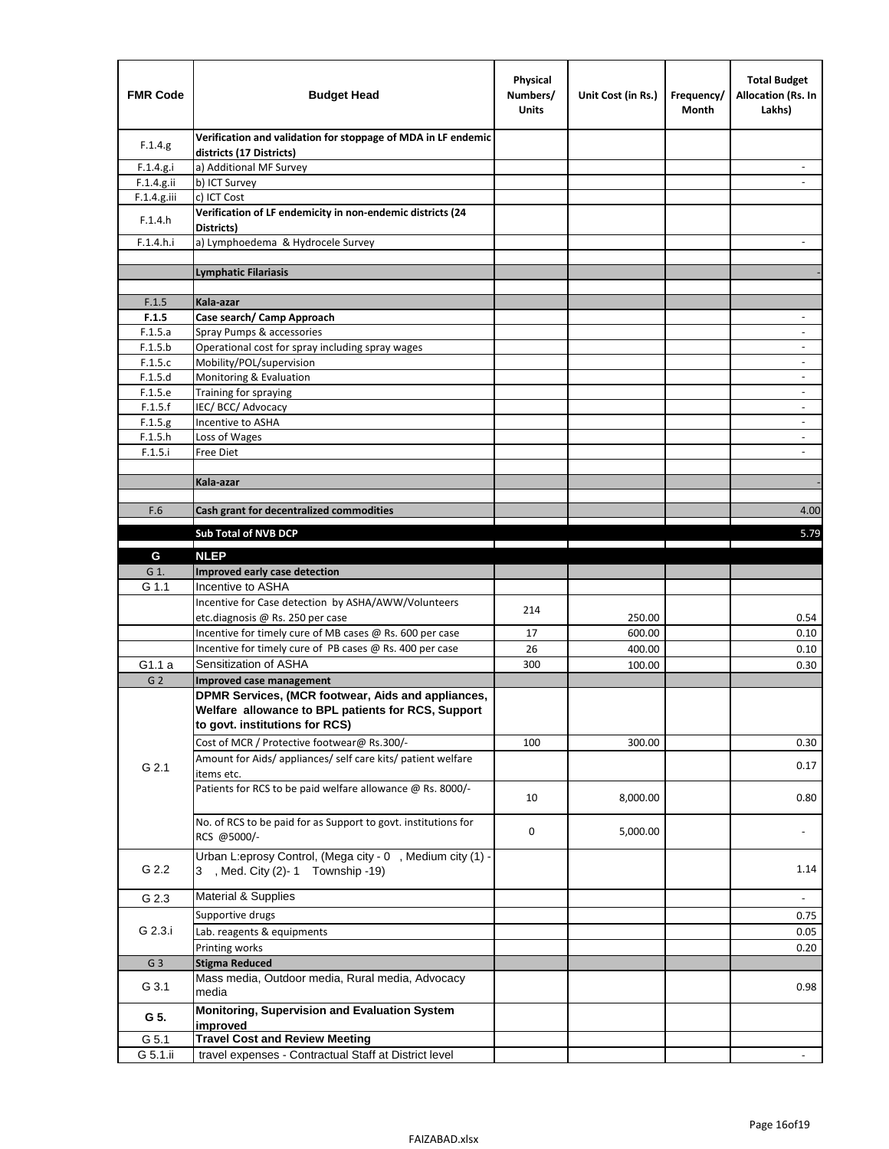| <b>FMR Code</b>    | <b>Budget Head</b>                                                                             | Physical<br>Numbers/<br><b>Units</b> | Unit Cost (in Rs.) | Frequency/<br>Month | <b>Total Budget</b><br><b>Allocation (Rs. In</b><br>Lakhs) |
|--------------------|------------------------------------------------------------------------------------------------|--------------------------------------|--------------------|---------------------|------------------------------------------------------------|
| F.1.4.g.           | Verification and validation for stoppage of MDA in LF endemic<br>districts (17 Districts)      |                                      |                    |                     |                                                            |
| F.1.4.g.i          | a) Additional MF Survey                                                                        |                                      |                    |                     |                                                            |
| F.1.4.g.ii         | b) ICT Survey                                                                                  |                                      |                    |                     |                                                            |
| $F.1.4.g.$ iii     | c) ICT Cost                                                                                    |                                      |                    |                     |                                                            |
| F.1.4.h            | Verification of LF endemicity in non-endemic districts (24<br>Districts)                       |                                      |                    |                     |                                                            |
| F.1.4.h.i          | a) Lymphoedema & Hydrocele Survey                                                              |                                      |                    |                     |                                                            |
|                    | <b>Lymphatic Filariasis</b>                                                                    |                                      |                    |                     |                                                            |
|                    |                                                                                                |                                      |                    |                     |                                                            |
| F.1.5              | Kala-azar                                                                                      |                                      |                    |                     |                                                            |
| F.1.5              | Case search/ Camp Approach                                                                     |                                      |                    |                     | $\overline{\phantom{a}}$                                   |
| F.1.5.a            | Spray Pumps & accessories                                                                      |                                      |                    |                     |                                                            |
| F.1.5.b            | Operational cost for spray including spray wages                                               |                                      |                    |                     |                                                            |
| F.1.5.c            | Mobility/POL/supervision                                                                       |                                      |                    |                     | $\overline{\phantom{a}}$                                   |
| F.1.5.d            | Monitoring & Evaluation                                                                        |                                      |                    |                     |                                                            |
| F.1.5.e            | Training for spraying                                                                          |                                      |                    |                     | $\overline{\phantom{a}}$                                   |
| F.1.5.f            | IEC/BCC/Advocacy<br>Incentive to ASHA                                                          |                                      |                    |                     | $\overline{\phantom{a}}$                                   |
| F.1.5.g<br>F.1.5.h | Loss of Wages                                                                                  |                                      |                    |                     | $\overline{\phantom{a}}$                                   |
| F.1.5.i            | Free Diet                                                                                      |                                      |                    |                     |                                                            |
|                    |                                                                                                |                                      |                    |                     |                                                            |
|                    | Kala-azar                                                                                      |                                      |                    |                     |                                                            |
|                    |                                                                                                |                                      |                    |                     |                                                            |
| F.6                | Cash grant for decentralized commodities                                                       |                                      |                    |                     | 4.00                                                       |
|                    | <b>Sub Total of NVB DCP</b>                                                                    |                                      |                    |                     | 5.79                                                       |
|                    |                                                                                                |                                      |                    |                     |                                                            |
| G                  | <b>NLEP</b>                                                                                    |                                      |                    |                     |                                                            |
| G 1.               | Improved early case detection<br>Incentive to ASHA                                             |                                      |                    |                     |                                                            |
| G 1.1              | Incentive for Case detection by ASHA/AWW/Volunteers                                            |                                      |                    |                     |                                                            |
|                    | etc.diagnosis @ Rs. 250 per case                                                               | 214                                  | 250.00             |                     | 0.54                                                       |
|                    | Incentive for timely cure of MB cases @ Rs. 600 per case                                       | 17                                   | 600.00             |                     | 0.10                                                       |
|                    | Incentive for timely cure of PB cases @ Rs. 400 per case                                       | 26                                   | 400.00             |                     | 0.10                                                       |
| G1.1 a             | Sensitization of ASHA                                                                          | 300                                  | 100.00             |                     | 0.30                                                       |
| G <sub>2</sub>     | <b>Improved case management</b>                                                                |                                      |                    |                     |                                                            |
|                    | DPMR Services, (MCR footwear, Aids and appliances,                                             |                                      |                    |                     |                                                            |
|                    | Welfare allowance to BPL patients for RCS, Support                                             |                                      |                    |                     |                                                            |
|                    | to govt. institutions for RCS)                                                                 |                                      |                    |                     |                                                            |
|                    | Cost of MCR / Protective footwear@ Rs.300/-                                                    | 100                                  | 300.00             |                     | 0.30                                                       |
|                    | Amount for Aids/ appliances/ self care kits/ patient welfare                                   |                                      |                    |                     |                                                            |
| G 2.1              | items etc.                                                                                     |                                      |                    |                     | 0.17                                                       |
|                    | Patients for RCS to be paid welfare allowance @ Rs. 8000/-                                     | 10                                   | 8,000.00           |                     | 0.80                                                       |
|                    | No. of RCS to be paid for as Support to govt. institutions for                                 | 0                                    | 5,000.00           |                     |                                                            |
|                    | RCS @5000/-                                                                                    |                                      |                    |                     |                                                            |
| G 2.2              | Urban L:eprosy Control, (Mega city - 0, Medium city (1) -<br>3 , Med. City (2)-1 Township -19) |                                      |                    |                     | 1.14                                                       |
| G 2.3              | <b>Material &amp; Supplies</b>                                                                 |                                      |                    |                     | $\overline{\phantom{a}}$                                   |
|                    | Supportive drugs                                                                               |                                      |                    |                     |                                                            |
| G 2.3.i            |                                                                                                |                                      |                    |                     | 0.75                                                       |
|                    | Lab. reagents & equipments<br>Printing works                                                   |                                      |                    |                     | 0.05<br>0.20                                               |
| G <sub>3</sub>     | <b>Stigma Reduced</b>                                                                          |                                      |                    |                     |                                                            |
|                    | Mass media, Outdoor media, Rural media, Advocacy                                               |                                      |                    |                     |                                                            |
| G 3.1              | media                                                                                          |                                      |                    |                     | 0.98                                                       |
| G 5.               | Monitoring, Supervision and Evaluation System<br>improved                                      |                                      |                    |                     |                                                            |
| G 5.1              | <b>Travel Cost and Review Meeting</b>                                                          |                                      |                    |                     |                                                            |
| G 5.1.ii           | travel expenses - Contractual Staff at District level                                          |                                      |                    |                     |                                                            |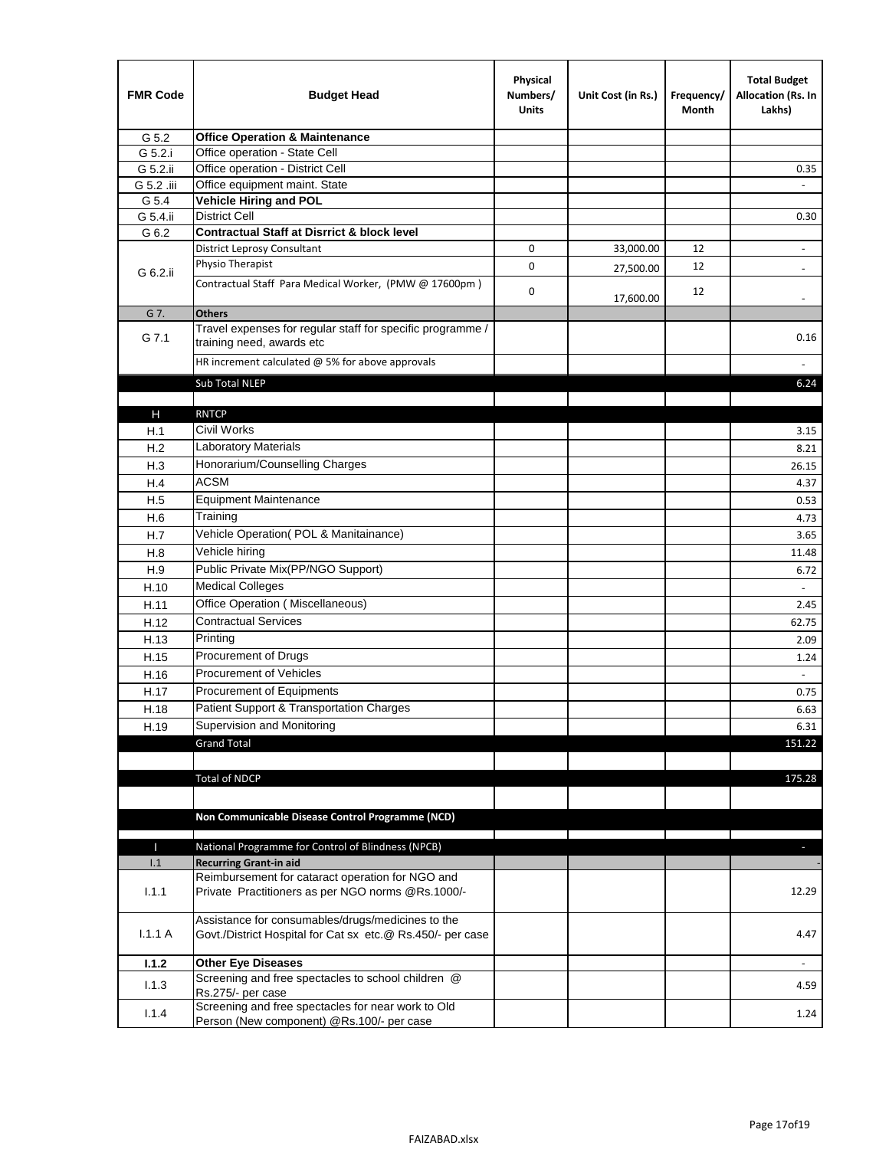| <b>FMR Code</b> | <b>Budget Head</b>                                                                                              | Physical<br>Numbers/<br><b>Units</b> | Unit Cost (in Rs.) | Frequency/<br>Month | <b>Total Budget</b><br>Allocation (Rs. In<br>Lakhs) |
|-----------------|-----------------------------------------------------------------------------------------------------------------|--------------------------------------|--------------------|---------------------|-----------------------------------------------------|
| G 5.2           | <b>Office Operation &amp; Maintenance</b>                                                                       |                                      |                    |                     |                                                     |
| G 5.2.i         | Office operation - State Cell                                                                                   |                                      |                    |                     |                                                     |
| G 5.2.ii        | Office operation - District Cell                                                                                |                                      |                    |                     | 0.35                                                |
| G 5.2 .iii      | Office equipment maint. State                                                                                   |                                      |                    |                     |                                                     |
| G 5.4           | <b>Vehicle Hiring and POL</b>                                                                                   |                                      |                    |                     |                                                     |
| G 5.4.ii        | <b>District Cell</b>                                                                                            |                                      |                    |                     | 0.30                                                |
| G 6.2           | <b>Contractual Staff at Disrrict &amp; block level</b>                                                          |                                      |                    |                     |                                                     |
|                 | <b>District Leprosy Consultant</b>                                                                              | 0                                    | 33,000.00          | 12                  | $\overline{\phantom{a}}$                            |
| G 6.2.ii        | Physio Therapist                                                                                                | 0                                    | 27,500.00          | 12                  |                                                     |
|                 | Contractual Staff Para Medical Worker, (PMW @ 17600pm)                                                          | 0                                    | 17,600.00          | 12                  | $\overline{\phantom{a}}$                            |
| G 7.            | <b>Others</b>                                                                                                   |                                      |                    |                     |                                                     |
| G 7.1           | Travel expenses for regular staff for specific programme /<br>training need, awards etc                         |                                      |                    |                     | 0.16                                                |
|                 | HR increment calculated $@$ 5% for above approvals                                                              |                                      |                    |                     |                                                     |
|                 | Sub Total NLEP                                                                                                  |                                      |                    |                     | 6.24                                                |
|                 |                                                                                                                 |                                      |                    |                     |                                                     |
| н               | <b>RNTCP</b>                                                                                                    |                                      |                    |                     |                                                     |
| H.1             | Civil Works                                                                                                     |                                      |                    |                     | 3.15                                                |
| H.2             | <b>Laboratory Materials</b>                                                                                     |                                      |                    |                     | 8.21                                                |
| H.3             | Honorarium/Counselling Charges                                                                                  |                                      |                    |                     | 26.15                                               |
| H.4             | <b>ACSM</b>                                                                                                     |                                      |                    |                     | 4.37                                                |
| H.5             | <b>Equipment Maintenance</b>                                                                                    |                                      |                    |                     | 0.53                                                |
| H.6             | Training                                                                                                        |                                      |                    |                     | 4.73                                                |
| H.7             | Vehicle Operation(POL & Manitainance)                                                                           |                                      |                    |                     | 3.65                                                |
| H.8             | Vehicle hiring                                                                                                  |                                      |                    |                     | 11.48                                               |
| H.9             | Public Private Mix(PP/NGO Support)                                                                              |                                      |                    |                     | 6.72                                                |
| H.10            | <b>Medical Colleges</b>                                                                                         |                                      |                    |                     | $\blacksquare$                                      |
| H.11            | Office Operation (Miscellaneous)                                                                                |                                      |                    |                     | 2.45                                                |
| H.12            | <b>Contractual Services</b>                                                                                     |                                      |                    |                     | 62.75                                               |
|                 | Printing                                                                                                        |                                      |                    |                     |                                                     |
| H.13            | Procurement of Drugs                                                                                            |                                      |                    |                     | 2.09                                                |
| H.15            | Procurement of Vehicles                                                                                         |                                      |                    |                     | 1.24                                                |
| H.16            |                                                                                                                 |                                      |                    |                     | $\omega$                                            |
| H.17            | Procurement of Equipments                                                                                       |                                      |                    |                     | 0.75                                                |
| H.18            | Patient Support & Transportation Charges                                                                        |                                      |                    |                     | 6.63                                                |
| H.19            | Supervision and Monitoring                                                                                      |                                      |                    |                     | 6.31                                                |
|                 | <b>Grand Total</b>                                                                                              |                                      |                    |                     | 151.22                                              |
|                 |                                                                                                                 |                                      |                    |                     |                                                     |
|                 | <b>Total of NDCP</b>                                                                                            |                                      |                    |                     | 175.28                                              |
|                 | Non Communicable Disease Control Programme (NCD)                                                                |                                      |                    |                     |                                                     |
|                 |                                                                                                                 |                                      |                    |                     |                                                     |
| Т               | National Programme for Control of Blindness (NPCB)                                                              |                                      |                    |                     | ٠                                                   |
| 1.1             | <b>Recurring Grant-in aid</b><br>Reimbursement for cataract operation for NGO and                               |                                      |                    |                     |                                                     |
| 1.1.1           | Private Practitioners as per NGO norms @Rs.1000/-                                                               |                                      |                    |                     | 12.29                                               |
| 1.1.1A          | Assistance for consumables/drugs/medicines to the<br>Govt./District Hospital for Cat sx etc.@ Rs.450/- per case |                                      |                    |                     | 4.47                                                |
| 1.1.2           | <b>Other Eye Diseases</b>                                                                                       |                                      |                    |                     |                                                     |
|                 | Screening and free spectacles to school children @                                                              |                                      |                    |                     | 4.59                                                |
| 1.1.3           | Rs.275/- per case                                                                                               |                                      |                    |                     |                                                     |
| 1.1.4           | Screening and free spectacles for near work to Old                                                              |                                      |                    |                     | 1.24                                                |
|                 | Person (New component) @Rs.100/- per case                                                                       |                                      |                    |                     |                                                     |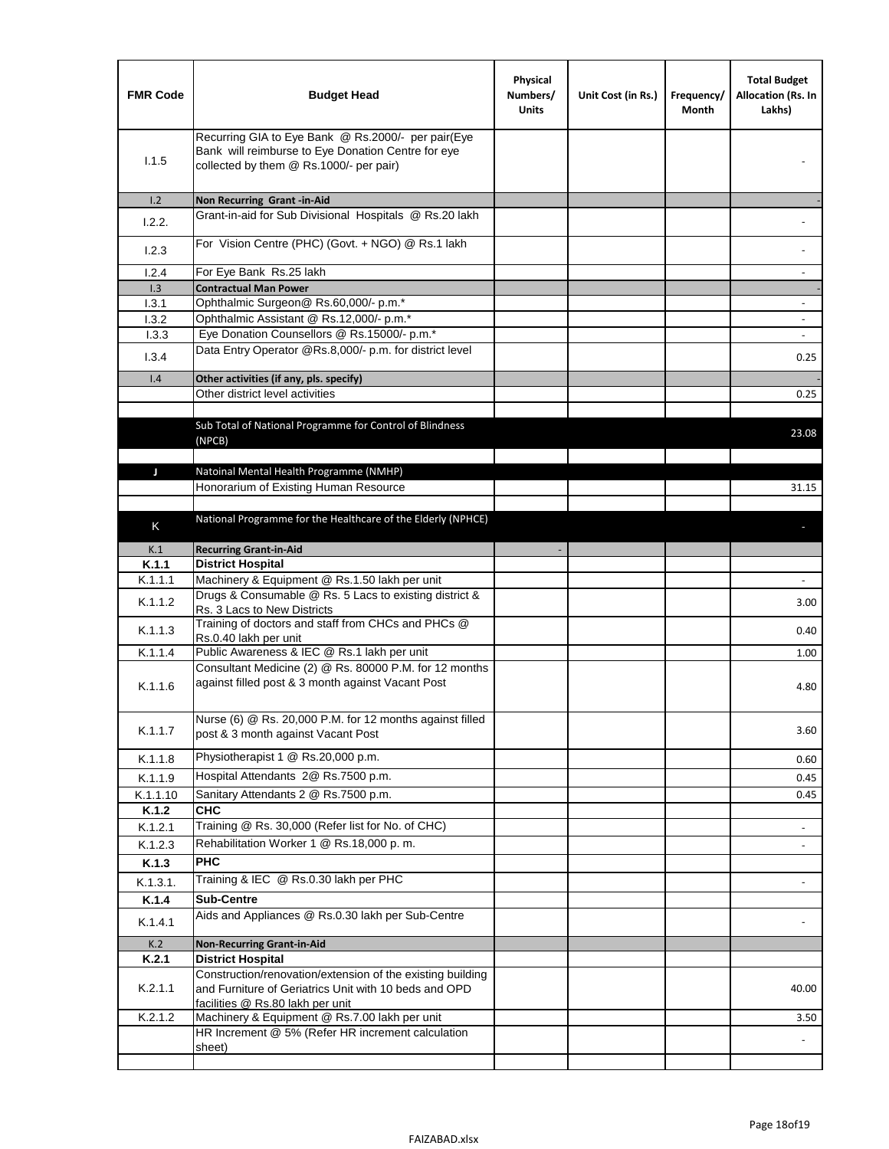| <b>FMR Code</b> | <b>Budget Head</b>                                                                                                                                      | Physical<br>Numbers/<br><b>Units</b> | Unit Cost (in Rs.) | Frequency/<br>Month | <b>Total Budget</b><br>Allocation (Rs. In<br>Lakhs) |
|-----------------|---------------------------------------------------------------------------------------------------------------------------------------------------------|--------------------------------------|--------------------|---------------------|-----------------------------------------------------|
| 1.1.5           | Recurring GIA to Eye Bank @ Rs.2000/- per pair(Eye<br>Bank will reimburse to Eye Donation Centre for eye<br>collected by them @ Rs.1000/- per pair)     |                                      |                    |                     |                                                     |
| 1.2             | Non Recurring Grant -in-Aid                                                                                                                             |                                      |                    |                     |                                                     |
| 1.2.2.          | Grant-in-aid for Sub Divisional Hospitals @ Rs.20 lakh                                                                                                  |                                      |                    |                     |                                                     |
| 1.2.3           | For Vision Centre (PHC) (Govt. + NGO) @ Rs.1 lakh                                                                                                       |                                      |                    |                     |                                                     |
| 1.2.4           | For Eye Bank Rs.25 lakh                                                                                                                                 |                                      |                    |                     | $\overline{\phantom{a}}$                            |
| 1.3             | <b>Contractual Man Power</b>                                                                                                                            |                                      |                    |                     |                                                     |
| 1.3.1           | Ophthalmic Surgeon@ Rs.60,000/- p.m.*                                                                                                                   |                                      |                    |                     | $\overline{\phantom{a}}$                            |
| 1.3.2           | Ophthalmic Assistant @ Rs.12,000/- p.m.*<br>Eye Donation Counsellors @ Rs.15000/- p.m.*                                                                 |                                      |                    |                     |                                                     |
| 1.3.3           | Data Entry Operator @Rs.8,000/- p.m. for district level                                                                                                 |                                      |                    |                     | $\sim$                                              |
| 1.3.4           |                                                                                                                                                         |                                      |                    |                     | 0.25                                                |
| 1.4             | Other activities (if any, pls. specify)<br>Other district level activities                                                                              |                                      |                    |                     |                                                     |
|                 |                                                                                                                                                         |                                      |                    |                     | 0.25                                                |
|                 | Sub Total of National Programme for Control of Blindness<br>(NPCB)                                                                                      |                                      |                    |                     | 23.08                                               |
| J               | Natoinal Mental Health Programme (NMHP)                                                                                                                 |                                      |                    |                     |                                                     |
|                 | Honorarium of Existing Human Resource                                                                                                                   |                                      |                    |                     | 31.15                                               |
|                 |                                                                                                                                                         |                                      |                    |                     |                                                     |
|                 | National Programme for the Healthcare of the Elderly (NPHCE)                                                                                            |                                      |                    |                     |                                                     |
| Κ               |                                                                                                                                                         |                                      |                    |                     |                                                     |
| K.1             | <b>Recurring Grant-in-Aid</b>                                                                                                                           |                                      |                    |                     |                                                     |
| K.1.1           | <b>District Hospital</b>                                                                                                                                |                                      |                    |                     |                                                     |
| K.1.1.1         | Machinery & Equipment @ Rs.1.50 lakh per unit                                                                                                           |                                      |                    |                     |                                                     |
| K.1.1.2         | Drugs & Consumable @ Rs. 5 Lacs to existing district &<br>Rs. 3 Lacs to New Districts                                                                   |                                      |                    |                     | 3.00                                                |
| K.1.1.3         | Training of doctors and staff from CHCs and PHCs @<br>Rs.0.40 lakh per unit                                                                             |                                      |                    |                     | 0.40                                                |
| K.1.1.4         | Public Awareness & IEC @ Rs.1 lakh per unit                                                                                                             |                                      |                    |                     | 1.00                                                |
| K.1.1.6         | Consultant Medicine (2) @ Rs. 80000 P.M. for 12 months<br>against filled post & 3 month against Vacant Post                                             |                                      |                    |                     | 4.80                                                |
| K.1.1.7         | Nurse (6) @ Rs. 20,000 P.M. for 12 months against filled<br>post & 3 month against Vacant Post                                                          |                                      |                    |                     | 3.60                                                |
| K.1.1.8         | Physiotherapist 1 @ Rs.20,000 p.m.                                                                                                                      |                                      |                    |                     | 0.60                                                |
| K.1.1.9         | Hospital Attendants 2@ Rs.7500 p.m.                                                                                                                     |                                      |                    |                     | 0.45                                                |
| K.1.1.10        | Sanitary Attendants 2 @ Rs.7500 p.m.                                                                                                                    |                                      |                    |                     | 0.45                                                |
| K.1.2           | <b>CHC</b>                                                                                                                                              |                                      |                    |                     |                                                     |
| K.1.2.1         | Training @ Rs. 30,000 (Refer list for No. of CHC)                                                                                                       |                                      |                    |                     | $\overline{\phantom{a}}$                            |
| K.1.2.3         | Rehabilitation Worker 1 @ Rs.18,000 p. m.                                                                                                               |                                      |                    |                     |                                                     |
| K.1.3           | <b>PHC</b>                                                                                                                                              |                                      |                    |                     |                                                     |
|                 | Training & IEC @ Rs.0.30 lakh per PHC                                                                                                                   |                                      |                    |                     |                                                     |
| K.1.3.1.        |                                                                                                                                                         |                                      |                    |                     |                                                     |
| K.1.4           | <b>Sub-Centre</b>                                                                                                                                       |                                      |                    |                     |                                                     |
| K.1.4.1         | Aids and Appliances @ Rs.0.30 lakh per Sub-Centre                                                                                                       |                                      |                    |                     |                                                     |
| K.2             | <b>Non-Recurring Grant-in-Aid</b>                                                                                                                       |                                      |                    |                     |                                                     |
| K.2.1           | <b>District Hospital</b>                                                                                                                                |                                      |                    |                     |                                                     |
| K.2.1.1         | Construction/renovation/extension of the existing building<br>and Furniture of Geriatrics Unit with 10 beds and OPD<br>facilities @ Rs.80 lakh per unit |                                      |                    |                     | 40.00                                               |
| K.2.1.2         | Machinery & Equipment @ Rs.7.00 lakh per unit                                                                                                           |                                      |                    |                     | 3.50                                                |
|                 | HR Increment @ 5% (Refer HR increment calculation                                                                                                       |                                      |                    |                     |                                                     |
|                 | sheet)                                                                                                                                                  |                                      |                    |                     |                                                     |
|                 |                                                                                                                                                         |                                      |                    |                     |                                                     |